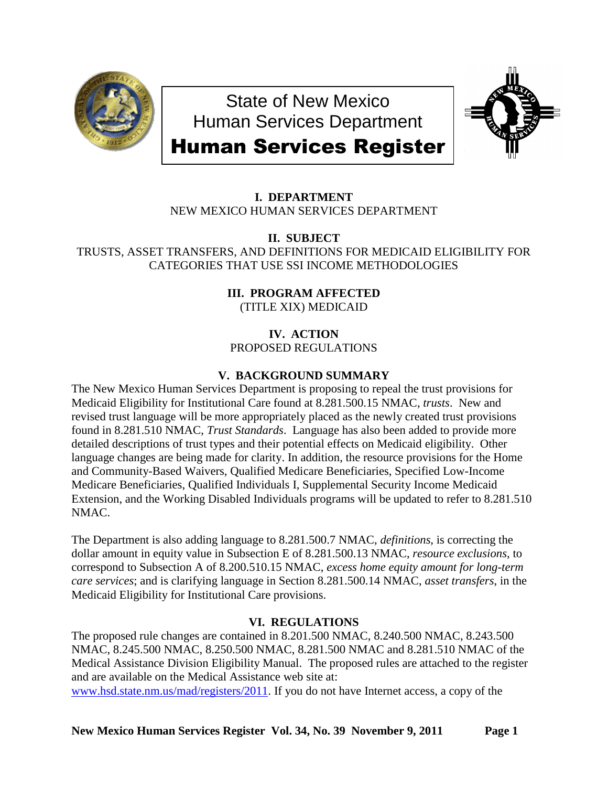

State of New Mexico Human Services Department



# Human Services Register

# **I. DEPARTMENT** NEW MEXICO HUMAN SERVICES DEPARTMENT

**II. SUBJECT**

TRUSTS, ASSET TRANSFERS, AND DEFINITIONS FOR MEDICAID ELIGIBILITY FOR CATEGORIES THAT USE SSI INCOME METHODOLOGIES

> **III. PROGRAM AFFECTED** (TITLE XIX) MEDICAID

**IV. ACTION** PROPOSED REGULATIONS

# **V. BACKGROUND SUMMARY**

The New Mexico Human Services Department is proposing to repeal the trust provisions for Medicaid Eligibility for Institutional Care found at 8.281.500.15 NMAC, *trusts*. New and revised trust language will be more appropriately placed as the newly created trust provisions found in 8.281.510 NMAC, *Trust Standards*. Language has also been added to provide more detailed descriptions of trust types and their potential effects on Medicaid eligibility. Other language changes are being made for clarity. In addition, the resource provisions for the Home and Community-Based Waivers, Qualified Medicare Beneficiaries, Specified Low-Income Medicare Beneficiaries, Qualified Individuals I, Supplemental Security Income Medicaid Extension, and the Working Disabled Individuals programs will be updated to refer to 8.281.510 NMAC.

The Department is also adding language to 8.281.500.7 NMAC, *definitions*, is correcting the dollar amount in equity value in Subsection E of 8.281.500.13 NMAC, *resource exclusions*, to correspond to Subsection A of 8.200.510.15 NMAC, *excess home equity amount for long-term care services*; and is clarifying language in Section 8.281.500.14 NMAC, *asset transfers*, in the Medicaid Eligibility for Institutional Care provisions.

# **VI. REGULATIONS**

The proposed rule changes are contained in 8.201.500 NMAC, 8.240.500 NMAC, 8.243.500 NMAC, 8.245.500 NMAC, 8.250.500 NMAC, 8.281.500 NMAC and 8.281.510 NMAC of the Medical Assistance Division Eligibility Manual. The proposed rules are attached to the register and are available on the Medical Assistance web site at: [www.hsd.state.nm.us/mad/registers/2011.](http://www.hsd.state.nm.us/mad/registers/2011) If you do not have Internet access, a copy of the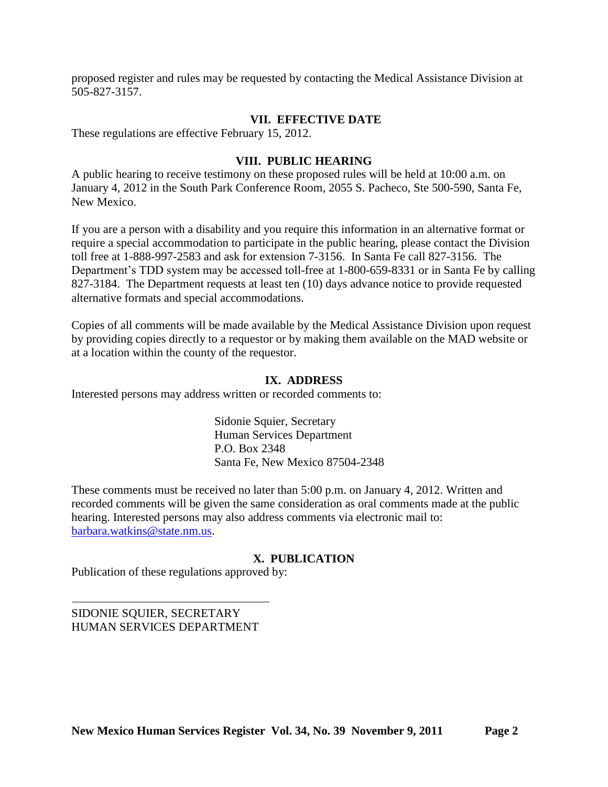proposed register and rules may be requested by contacting the Medical Assistance Division at 505-827-3157.

# **VII. EFFECTIVE DATE**

These regulations are effective February 15, 2012.

# **VIII. PUBLIC HEARING**

A public hearing to receive testimony on these proposed rules will be held at 10:00 a.m. on January 4, 2012 in the South Park Conference Room, 2055 S. Pacheco, Ste 500-590, Santa Fe, New Mexico.

If you are a person with a disability and you require this information in an alternative format or require a special accommodation to participate in the public hearing, please contact the Division toll free at 1-888-997-2583 and ask for extension 7-3156. In Santa Fe call 827-3156. The Department's TDD system may be accessed toll-free at 1-800-659-8331 or in Santa Fe by calling 827-3184. The Department requests at least ten (10) days advance notice to provide requested alternative formats and special accommodations.

Copies of all comments will be made available by the Medical Assistance Division upon request by providing copies directly to a requestor or by making them available on the MAD website or at a location within the county of the requestor.

# **IX. ADDRESS**

Interested persons may address written or recorded comments to:

Sidonie Squier, Secretary Human Services Department P.O. Box 2348 Santa Fe, New Mexico 87504-2348

These comments must be received no later than 5:00 p.m. on January 4, 2012. Written and recorded comments will be given the same consideration as oral comments made at the public hearing. Interested persons may also address comments via electronic mail to: [barbara.watkins@state.nm.us.](mailto:barbara.watkins@state.nm.us)

# **X. PUBLICATION**

Publication of these regulations approved by:

SIDONIE SQUIER, SECRETARY HUMAN SERVICES DEPARTMENT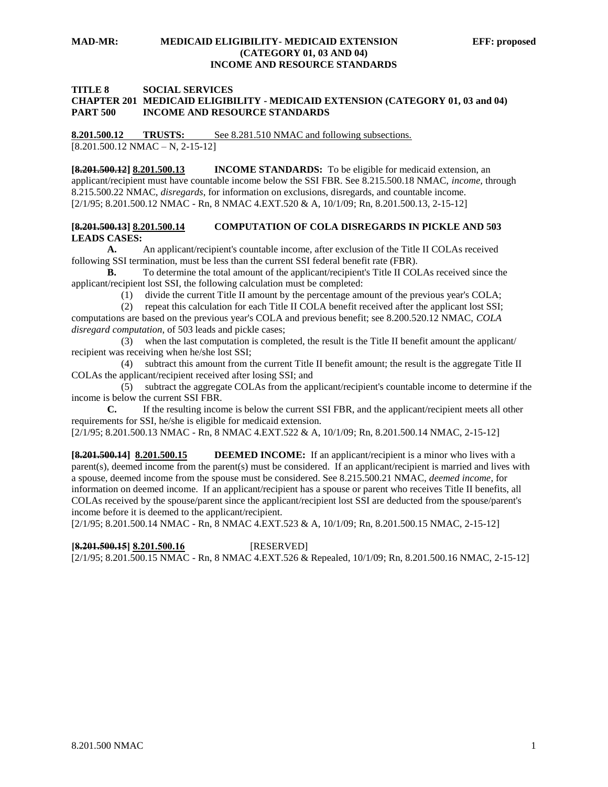#### **MAD-MR: MEDICAID ELIGIBILITY- MEDICAID EXTENSION EFF: proposed (CATEGORY 01, 03 AND 04) INCOME AND RESOURCE STANDARDS**

## **TITLE 8 SOCIAL SERVICES CHAPTER 201 MEDICAID ELIGIBILITY - MEDICAID EXTENSION (CATEGORY 01, 03 and 04) PART 500 INCOME AND RESOURCE STANDARDS**

**8.201.500.12 TRUSTS:** See 8.281.510 NMAC and following subsections. [8.201.500.12 NMAC – N, 2-15-12]

**[8.201.500.12] 8.201.500.13 INCOME STANDARDS:** To be eligible for medicaid extension, an applicant/recipient must have countable income below the SSI FBR. See 8.215.500.18 NMAC, *income,* through 8.215.500.22 NMAC, *disregards*, for information on exclusions, disregards, and countable income. [2/1/95; 8.201.500.12 NMAC - Rn, 8 NMAC 4.EXT.520 & A, 10/1/09; Rn, 8.201.500.13, 2-15-12]

## **[8.201.500.13] 8.201.500.14 COMPUTATION OF COLA DISREGARDS IN PICKLE AND 503 LEADS CASES:**

**A.** An applicant/recipient's countable income, after exclusion of the Title II COLAs received following SSI termination, must be less than the current SSI federal benefit rate (FBR).

**B.** To determine the total amount of the applicant/recipient's Title II COLAs received since the applicant/recipient lost SSI, the following calculation must be completed:

(1) divide the current Title II amount by the percentage amount of the previous year's COLA;

 (2) repeat this calculation for each Title II COLA benefit received after the applicant lost SSI; computations are based on the previous year's COLA and previous benefit; see 8.200.520.12 NMAC, *COLA disregard computation*, of 503 leads and pickle cases;

 (3) when the last computation is completed, the result is the Title II benefit amount the applicant/ recipient was receiving when he/she lost SSI;

 (4) subtract this amount from the current Title II benefit amount; the result is the aggregate Title II COLAs the applicant/recipient received after losing SSI; and

 (5) subtract the aggregate COLAs from the applicant/recipient's countable income to determine if the income is below the current SSI FBR.

**C.** If the resulting income is below the current SSI FBR, and the applicant/recipient meets all other requirements for SSI, he/she is eligible for medicaid extension. [2/1/95; 8.201.500.13 NMAC - Rn, 8 NMAC 4.EXT.522 & A, 10/1/09; Rn, 8.201.500.14 NMAC, 2-15-12]

**[8.201.500.14] 8.201.500.15 DEEMED INCOME:** If an applicant/recipient is a minor who lives with a parent(s), deemed income from the parent(s) must be considered. If an applicant/recipient is married and lives with a spouse, deemed income from the spouse must be considered. See 8.215.500.21 NMAC, *deemed income*, for information on deemed income. If an applicant/recipient has a spouse or parent who receives Title II benefits, all COLAs received by the spouse/parent since the applicant/recipient lost SSI are deducted from the spouse/parent's income before it is deemed to the applicant/recipient.

[2/1/95; 8.201.500.14 NMAC - Rn, 8 NMAC 4.EXT.523 & A, 10/1/09; Rn, 8.201.500.15 NMAC, 2-15-12]

# **[8.201.500.15] 8.201.500.16** [RESERVED]

[2/1/95; 8.201.500.15 NMAC - Rn, 8 NMAC 4.EXT.526 & Repealed, 10/1/09; Rn, 8.201.500.16 NMAC, 2-15-12]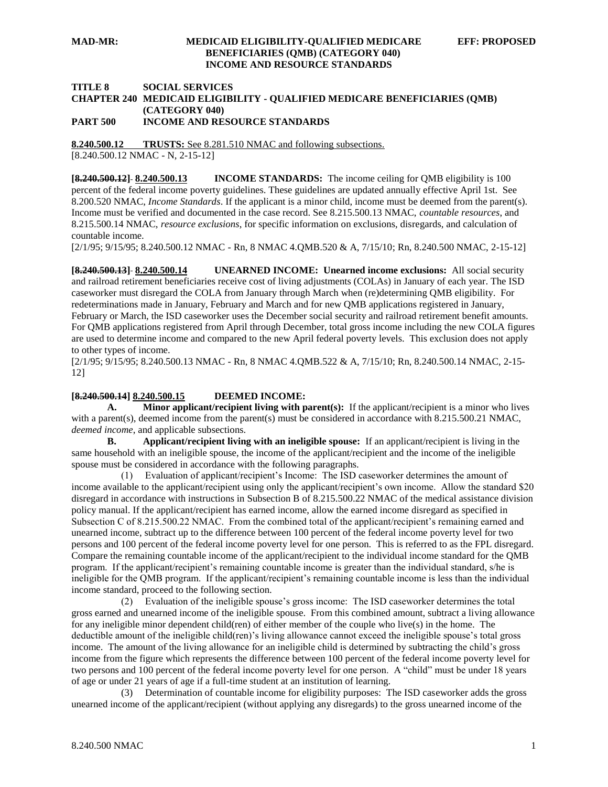## **MAD-MR: MEDICAID ELIGIBILITY-QUALIFIED MEDICARE EFF: PROPOSED BENEFICIARIES (QMB) (CATEGORY 040) INCOME AND RESOURCE STANDARDS**

# **TITLE 8 SOCIAL SERVICES CHAPTER 240 MEDICAID ELIGIBILITY - QUALIFIED MEDICARE BENEFICIARIES (QMB) (CATEGORY 040)**

**PART 500 INCOME AND RESOURCE STANDARDS**

**8.240.500.12 TRUSTS:** See 8.281.510 NMAC and following subsections.

[8.240.500.12 NMAC - N, 2-15-12]

**[8.240.500.12] 8.240.500.13 INCOME STANDARDS:** The income ceiling for QMB eligibility is 100 percent of the federal income poverty guidelines. These guidelines are updated annually effective April 1st. See 8.200.520 NMAC, *Income Standards*. If the applicant is a minor child, income must be deemed from the parent(s). Income must be verified and documented in the case record. See 8.215.500.13 NMAC, *countable resources*, and 8.215.500.14 NMAC, *resource exclusions*, for specific information on exclusions, disregards, and calculation of countable income.

[2/1/95; 9/15/95; 8.240.500.12 NMAC - Rn, 8 NMAC 4.QMB.520 & A, 7/15/10; Rn, 8.240.500 NMAC, 2-15-12]

**[8.240.500.13] 8.240.500.14 UNEARNED INCOME: Unearned income exclusions:** All social security and railroad retirement beneficiaries receive cost of living adjustments (COLAs) in January of each year. The ISD caseworker must disregard the COLA from January through March when (re)determining QMB eligibility. For redeterminations made in January, February and March and for new QMB applications registered in January, February or March, the ISD caseworker uses the December social security and railroad retirement benefit amounts. For QMB applications registered from April through December, total gross income including the new COLA figures are used to determine income and compared to the new April federal poverty levels. This exclusion does not apply to other types of income.

[2/1/95; 9/15/95; 8.240.500.13 NMAC - Rn, 8 NMAC 4.QMB.522 & A, 7/15/10; Rn, 8.240.500.14 NMAC, 2-15- 12]

## **[8.240.500.14] 8.240.500.15 DEEMED INCOME:**

**A. Minor applicant/recipient living with parent(s):** If the applicant/recipient is a minor who lives with a parent(s), deemed income from the parent(s) must be considered in accordance with 8.215.500.21 NMAC, *deemed income*, and applicable subsections.

**B. Applicant/recipient living with an ineligible spouse:** If an applicant/recipient is living in the same household with an ineligible spouse, the income of the applicant/recipient and the income of the ineligible spouse must be considered in accordance with the following paragraphs.

 (1) Evaluation of applicant/recipient's Income: The ISD caseworker determines the amount of income available to the applicant/recipient using only the applicant/recipient's own income. Allow the standard \$20 disregard in accordance with instructions in Subsection B of 8.215.500.22 NMAC of the medical assistance division policy manual. If the applicant/recipient has earned income, allow the earned income disregard as specified in Subsection C of 8.215.500.22 NMAC. From the combined total of the applicant/recipient's remaining earned and unearned income, subtract up to the difference between 100 percent of the federal income poverty level for two persons and 100 percent of the federal income poverty level for one person. This is referred to as the FPL disregard. Compare the remaining countable income of the applicant/recipient to the individual income standard for the QMB program. If the applicant/recipient's remaining countable income is greater than the individual standard, s/he is ineligible for the QMB program. If the applicant/recipient's remaining countable income is less than the individual income standard, proceed to the following section.

 (2) Evaluation of the ineligible spouse's gross income: The ISD caseworker determines the total gross earned and unearned income of the ineligible spouse. From this combined amount, subtract a living allowance for any ineligible minor dependent child(ren) of either member of the couple who live(s) in the home. The deductible amount of the ineligible child(ren)'s living allowance cannot exceed the ineligible spouse's total gross income. The amount of the living allowance for an ineligible child is determined by subtracting the child's gross income from the figure which represents the difference between 100 percent of the federal income poverty level for two persons and 100 percent of the federal income poverty level for one person. A "child" must be under 18 years of age or under 21 years of age if a full-time student at an institution of learning.

 (3) Determination of countable income for eligibility purposes: The ISD caseworker adds the gross unearned income of the applicant/recipient (without applying any disregards) to the gross unearned income of the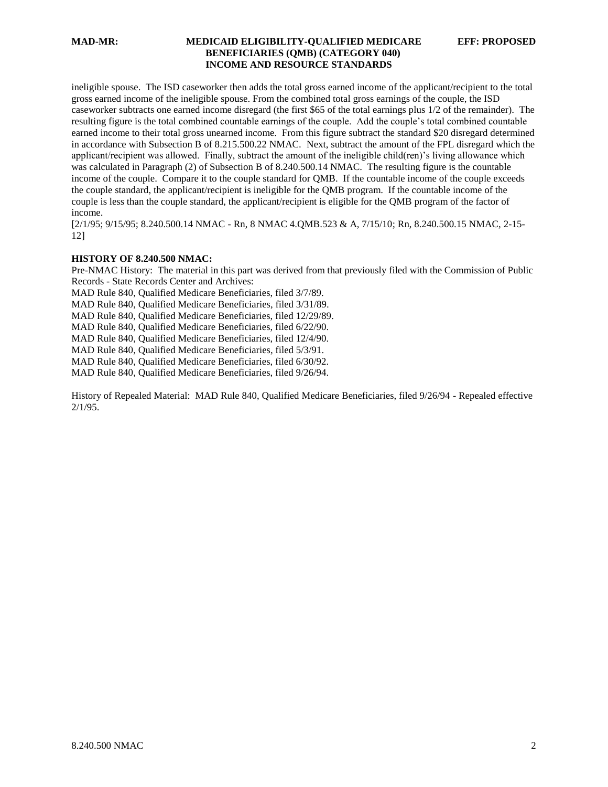# **MAD-MR: MEDICAID ELIGIBILITY-QUALIFIED MEDICARE EFF: PROPOSED BENEFICIARIES (QMB) (CATEGORY 040) INCOME AND RESOURCE STANDARDS**

ineligible spouse. The ISD caseworker then adds the total gross earned income of the applicant/recipient to the total gross earned income of the ineligible spouse. From the combined total gross earnings of the couple, the ISD caseworker subtracts one earned income disregard (the first \$65 of the total earnings plus 1/2 of the remainder). The resulting figure is the total combined countable earnings of the couple. Add the couple's total combined countable earned income to their total gross unearned income. From this figure subtract the standard \$20 disregard determined in accordance with Subsection B of 8.215.500.22 NMAC. Next, subtract the amount of the FPL disregard which the applicant/recipient was allowed. Finally, subtract the amount of the ineligible child(ren)'s living allowance which was calculated in Paragraph (2) of Subsection B of 8.240.500.14 NMAC. The resulting figure is the countable income of the couple. Compare it to the couple standard for QMB. If the countable income of the couple exceeds the couple standard, the applicant/recipient is ineligible for the QMB program. If the countable income of the couple is less than the couple standard, the applicant/recipient is eligible for the QMB program of the factor of income.

[2/1/95; 9/15/95; 8.240.500.14 NMAC - Rn, 8 NMAC 4.QMB.523 & A, 7/15/10; Rn, 8.240.500.15 NMAC, 2-15- 12]

#### **HISTORY OF 8.240.500 NMAC:**

Pre-NMAC History: The material in this part was derived from that previously filed with the Commission of Public Records - State Records Center and Archives:

MAD Rule 840, Qualified Medicare Beneficiaries, filed 3/7/89.

MAD Rule 840, Qualified Medicare Beneficiaries, filed 3/31/89.

MAD Rule 840, Qualified Medicare Beneficiaries, filed 12/29/89.

MAD Rule 840, Qualified Medicare Beneficiaries, filed 6/22/90.

MAD Rule 840, Qualified Medicare Beneficiaries, filed 12/4/90.

MAD Rule 840, Qualified Medicare Beneficiaries, filed 5/3/91.

MAD Rule 840, Qualified Medicare Beneficiaries, filed 6/30/92.

MAD Rule 840, Qualified Medicare Beneficiaries, filed 9/26/94.

History of Repealed Material: MAD Rule 840, Qualified Medicare Beneficiaries, filed 9/26/94 - Repealed effective 2/1/95.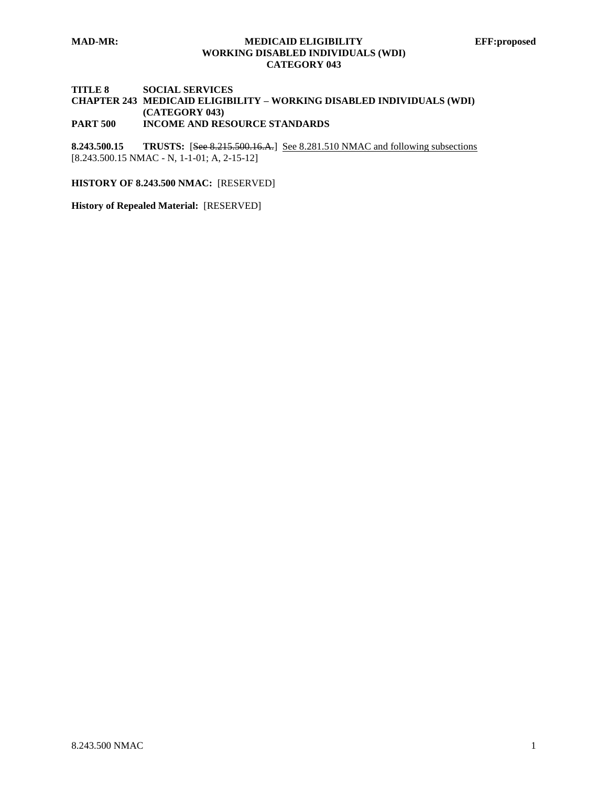## **MAD-MR: MEDICAID ELIGIBILITY EFF:proposed WORKING DISABLED INDIVIDUALS (WDI) CATEGORY 043**

#### **TITLE 8 SOCIAL SERVICES CHAPTER 243 MEDICAID ELIGIBILITY – WORKING DISABLED INDIVIDUALS (WDI) (CATEGORY 043) PART 500 INCOME AND RESOURCE STANDARDS**

**8.243.500.15 TRUSTS:** [See 8.215.500.16.A.] See 8.281.510 NMAC and following subsections [8.243.500.15 NMAC - N, 1-1-01; A, 2-15-12]

**HISTORY OF 8.243.500 NMAC:** [RESERVED]

**History of Repealed Material:** [RESERVED]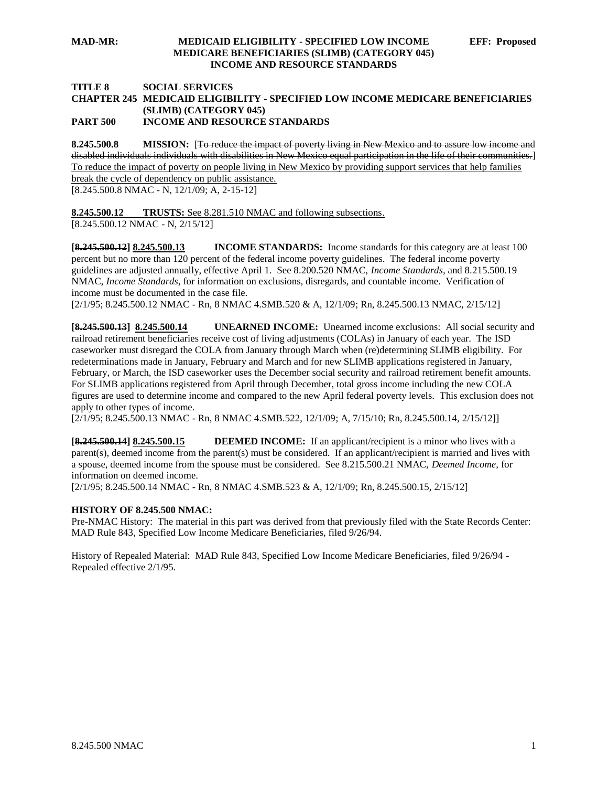#### **TITLE 8 SOCIAL SERVICES CHAPTER 245 MEDICAID ELIGIBILITY - SPECIFIED LOW INCOME MEDICARE BENEFICIARIES (SLIMB) (CATEGORY 045) PART 500 INCOME AND RESOURCE STANDARDS**

**8.245.500.8 MISSION:** [To reduce the impact of poverty living in New Mexico and to assure low income and disabled individuals individuals with disabilities in New Mexico equal participation in the life of their communities.] To reduce the impact of poverty on people living in New Mexico by providing support services that help families break the cycle of dependency on public assistance.

[8.245.500.8 NMAC - N, 12/1/09; A, 2-15-12]

**8.245.500.12 TRUSTS:** See 8.281.510 NMAC and following subsections. [8.245.500.12 NMAC - N, 2/15/12]

**[8.245.500.12] 8.245.500.13 INCOME STANDARDS:** Income standards for this category are at least 100 percent but no more than 120 percent of the federal income poverty guidelines. The federal income poverty guidelines are adjusted annually, effective April 1. See 8.200.520 NMAC, *Income Standards*, and 8.215.500.19 NMAC, *Income Standards*, for information on exclusions, disregards, and countable income. Verification of income must be documented in the case file.

[2/1/95; 8.245.500.12 NMAC - Rn, 8 NMAC 4.SMB.520 & A, 12/1/09; Rn, 8.245.500.13 NMAC, 2/15/12]

**[8.245.500.13] 8.245.500.14 UNEARNED INCOME:** Unearned income exclusions: All social security and railroad retirement beneficiaries receive cost of living adjustments (COLAs) in January of each year. The ISD caseworker must disregard the COLA from January through March when (re)determining SLIMB eligibility. For redeterminations made in January, February and March and for new SLIMB applications registered in January, February, or March, the ISD caseworker uses the December social security and railroad retirement benefit amounts. For SLIMB applications registered from April through December, total gross income including the new COLA figures are used to determine income and compared to the new April federal poverty levels. This exclusion does not apply to other types of income.

[2/1/95; 8.245.500.13 NMAC - Rn, 8 NMAC 4.SMB.522, 12/1/09; A, 7/15/10; Rn, 8.245.500.14, 2/15/12]]

**[8.245.500.14] 8.245.500.15 DEEMED INCOME:** If an applicant/recipient is a minor who lives with a parent(s), deemed income from the parent(s) must be considered. If an applicant/recipient is married and lives with a spouse, deemed income from the spouse must be considered. See 8.215.500.21 NMAC, *Deemed Income,* for information on deemed income.

[2/1/95; 8.245.500.14 NMAC - Rn, 8 NMAC 4.SMB.523 & A, 12/1/09; Rn, 8.245.500.15, 2/15/12]

# **HISTORY OF 8.245.500 NMAC:**

Pre-NMAC History: The material in this part was derived from that previously filed with the State Records Center: MAD Rule 843, Specified Low Income Medicare Beneficiaries, filed 9/26/94.

History of Repealed Material: MAD Rule 843, Specified Low Income Medicare Beneficiaries, filed 9/26/94 - Repealed effective 2/1/95.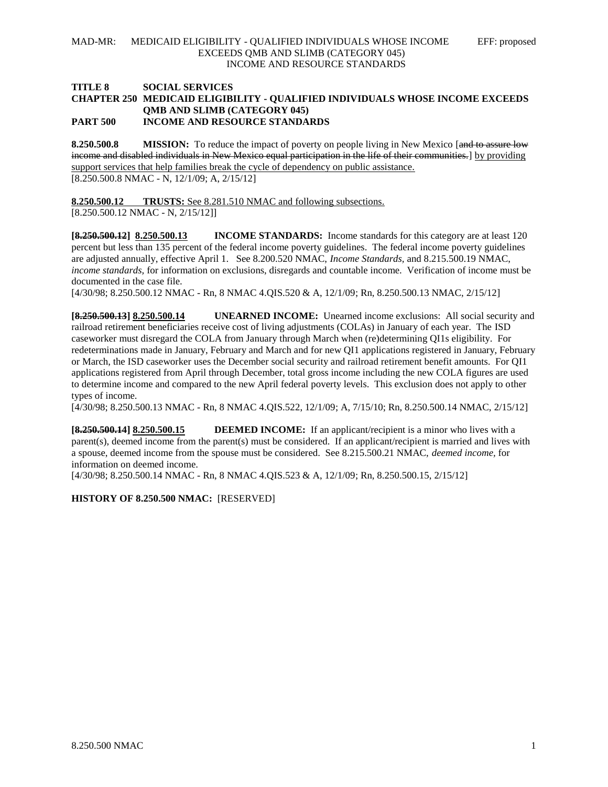#### **TITLE 8 SOCIAL SERVICES CHAPTER 250 MEDICAID ELIGIBILITY - QUALIFIED INDIVIDUALS WHOSE INCOME EXCEEDS QMB AND SLIMB (CATEGORY 045) PART 500 INCOME AND RESOURCE STANDARDS**

**8.250.500.8 MISSION:** To reduce the impact of poverty on people living in New Mexico [and to assure low income and disabled individuals in New Mexico equal participation in the life of their communities.] by providing support services that help families break the cycle of dependency on public assistance. [8.250.500.8 NMAC - N, 12/1/09; A, 2/15/12]

**8.250.500.12 TRUSTS:** See 8.281.510 NMAC and following subsections.

[8.250.500.12 NMAC - N, 2/15/12]]

**[8.250.500.12] 8.250.500.13 INCOME STANDARDS:** Income standards for this category are at least 120 percent but less than 135 percent of the federal income poverty guidelines. The federal income poverty guidelines are adjusted annually, effective April 1. See 8.200.520 NMAC, *Income Standards,* and 8.215.500.19 NMAC, *income standards,* for information on exclusions, disregards and countable income. Verification of income must be documented in the case file.

[4/30/98; 8.250.500.12 NMAC - Rn, 8 NMAC 4.QIS.520 & A, 12/1/09; Rn, 8.250.500.13 NMAC, 2/15/12]

**[8.250.500.13] 8.250.500.14 UNEARNED INCOME:** Unearned income exclusions: All social security and railroad retirement beneficiaries receive cost of living adjustments (COLAs) in January of each year. The ISD caseworker must disregard the COLA from January through March when (re)determining QI1s eligibility. For redeterminations made in January, February and March and for new QI1 applications registered in January, February or March, the ISD caseworker uses the December social security and railroad retirement benefit amounts. For QI1 applications registered from April through December, total gross income including the new COLA figures are used to determine income and compared to the new April federal poverty levels. This exclusion does not apply to other types of income.

[4/30/98; 8.250.500.13 NMAC - Rn, 8 NMAC 4.QIS.522, 12/1/09; A, 7/15/10; Rn, 8.250.500.14 NMAC, 2/15/12]

**[8.250.500.14] 8.250.500.15 DEEMED INCOME:** If an applicant/recipient is a minor who lives with a parent(s), deemed income from the parent(s) must be considered. If an applicant/recipient is married and lives with a spouse, deemed income from the spouse must be considered. See 8.215.500.21 NMAC, *deemed income,* for information on deemed income.

[4/30/98; 8.250.500.14 NMAC - Rn, 8 NMAC 4.QIS.523 & A, 12/1/09; Rn, 8.250.500.15, 2/15/12]

**HISTORY OF 8.250.500 NMAC:** [RESERVED]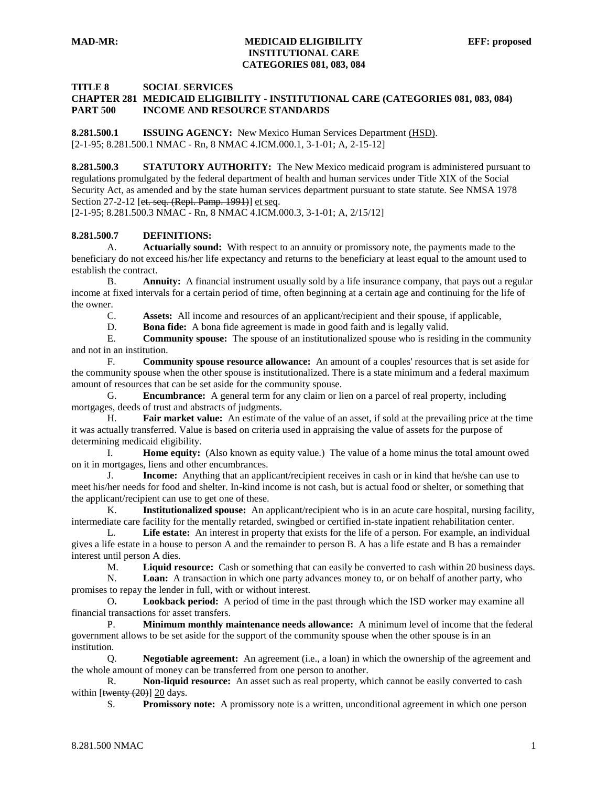## **TITLE 8 SOCIAL SERVICES**

# **CHAPTER 281 MEDICAID ELIGIBILITY - INSTITUTIONAL CARE (CATEGORIES 081, 083, 084) PART 500 INCOME AND RESOURCE STANDARDS**

**8.281.500.1 ISSUING AGENCY:** New Mexico Human Services Department (HSD). [2-1-95; 8.281.500.1 NMAC - Rn, 8 NMAC 4.ICM.000.1, 3-1-01; A, 2-15-12]

**8.281.500.3 STATUTORY AUTHORITY:** The New Mexico medicaid program is administered pursuant to regulations promulgated by the federal department of health and human services under Title XIX of the Social Security Act, as amended and by the state human services department pursuant to state statute. See NMSA 1978 Section 27-2-12 [et. seq. (Repl. Pamp. 1991)] et seq.

[2-1-95; 8.281.500.3 NMAC - Rn, 8 NMAC 4.ICM.000.3, 3-1-01; A, 2/15/12]

#### **8.281.500.7 DEFINITIONS:**

A. **Actuarially sound:** With respect to an annuity or promissory note, the payments made to the beneficiary do not exceed his/her life expectancy and returns to the beneficiary at least equal to the amount used to establish the contract.

B. **Annuity:** A financial instrument usually sold by a life insurance company, that pays out a regular income at fixed intervals for a certain period of time, often beginning at a certain age and continuing for the life of the owner.

C. **Assets:** All income and resources of an applicant/recipient and their spouse, if applicable,

D. **Bona fide:** A bona fide agreement is made in good faith and is legally valid.

E. **Community spouse:** The spouse of an institutionalized spouse who is residing in the community and not in an institution.

F. **Community spouse resource allowance:** An amount of a couples' resources that is set aside for the community spouse when the other spouse is institutionalized. There is a state minimum and a federal maximum amount of resources that can be set aside for the community spouse.

G. **Encumbrance:** A general term for any claim or lien on a parcel of real property, including mortgages, deeds of trust and abstracts of judgments.

H. **Fair market value:** An estimate of the value of an asset, if sold at the prevailing price at the time it was actually transferred. Value is based on criteria used in appraising the value of assets for the purpose of determining medicaid eligibility.

I. **Home equity:** (Also known as equity value.) The value of a home minus the total amount owed on it in mortgages, liens and other encumbrances.

J. **Income:** Anything that an applicant/recipient receives in cash or in kind that he/she can use to meet his/her needs for food and shelter. In-kind income is not cash, but is actual food or shelter, or something that the applicant/recipient can use to get one of these.

K. **Institutionalized spouse:** An applicant/recipient who is in an acute care hospital, nursing facility, intermediate care facility for the mentally retarded, swingbed or certified in-state inpatient rehabilitation center.

L. **Life estate:** An interest in property that exists for the life of a person. For example, an individual gives a life estate in a house to person A and the remainder to person B. A has a life estate and B has a remainder interest until person A dies.

M. **Liquid resource:** Cash or something that can easily be converted to cash within 20 business days.

N. **Loan:** A transaction in which one party advances money to, or on behalf of another party, who promises to repay the lender in full, with or without interest.

O**. Lookback period:** A period of time in the past through which the ISD worker may examine all financial transactions for asset transfers.

P. **Minimum monthly maintenance needs allowance:** A minimum level of income that the federal government allows to be set aside for the support of the community spouse when the other spouse is in an institution.

Q. **Negotiable agreement:** An agreement (i.e., a loan) in which the ownership of the agreement and the whole amount of money can be transferred from one person to another.

R. **Non-liquid resource:** An asset such as real property, which cannot be easily converted to cash within [twenty (20)] 20 days.

S. **Promissory note:** A promissory note is a written, unconditional agreement in which one person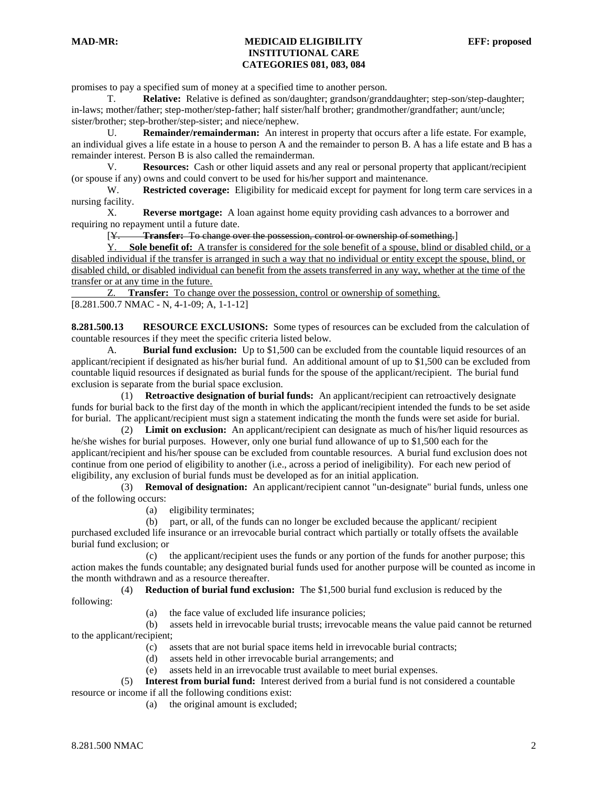promises to pay a specified sum of money at a specified time to another person.

T. **Relative:** Relative is defined as son/daughter; grandson/granddaughter; step-son/step-daughter; in-laws; mother/father; step-mother/step-father; half sister/half brother; grandmother/grandfather; aunt/uncle; sister/brother; step-brother/step-sister; and niece/nephew.

U. **Remainder/remainderman:** An interest in property that occurs after a life estate. For example, an individual gives a life estate in a house to person A and the remainder to person B. A has a life estate and B has a remainder interest. Person B is also called the remainderman.

V. **Resources:** Cash or other liquid assets and any real or personal property that applicant/recipient (or spouse if any) owns and could convert to be used for his/her support and maintenance.

W. **Restricted coverage:** Eligibility for medicaid except for payment for long term care services in a nursing facility.

X. **Reverse mortgage:** A loan against home equity providing cash advances to a borrower and requiring no repayment until a future date.

[Y. **Transfer:** To change over the possession, control or ownership of something.]

Y. **Sole benefit of:** A transfer is considered for the sole benefit of a spouse, blind or disabled child, or a disabled individual if the transfer is arranged in such a way that no individual or entity except the spouse, blind, or disabled child, or disabled individual can benefit from the assets transferred in any way, whether at the time of the transfer or at any time in the future.

Z. **Transfer:** To change over the possession, control or ownership of something. [8.281.500.7 NMAC - N, 4-1-09; A, 1-1-12]

**8.281.500.13 RESOURCE EXCLUSIONS:** Some types of resources can be excluded from the calculation of countable resources if they meet the specific criteria listed below.

A. **Burial fund exclusion:** Up to \$1,500 can be excluded from the countable liquid resources of an applicant/recipient if designated as his/her burial fund. An additional amount of up to \$1,500 can be excluded from countable liquid resources if designated as burial funds for the spouse of the applicant/recipient. The burial fund exclusion is separate from the burial space exclusion.

 (1) **Retroactive designation of burial funds:** An applicant/recipient can retroactively designate funds for burial back to the first day of the month in which the applicant/recipient intended the funds to be set aside for burial. The applicant/recipient must sign a statement indicating the month the funds were set aside for burial.

 (2) **Limit on exclusion:** An applicant/recipient can designate as much of his/her liquid resources as he/she wishes for burial purposes. However, only one burial fund allowance of up to \$1,500 each for the applicant/recipient and his/her spouse can be excluded from countable resources. A burial fund exclusion does not continue from one period of eligibility to another (i.e., across a period of ineligibility). For each new period of eligibility, any exclusion of burial funds must be developed as for an initial application.

 (3) **Removal of designation:** An applicant/recipient cannot "un-designate" burial funds, unless one of the following occurs:

(a) eligibility terminates;

 (b) part, or all, of the funds can no longer be excluded because the applicant/ recipient purchased excluded life insurance or an irrevocable burial contract which partially or totally offsets the available burial fund exclusion; or

 (c) the applicant/recipient uses the funds or any portion of the funds for another purpose; this action makes the funds countable; any designated burial funds used for another purpose will be counted as income in the month withdrawn and as a resource thereafter.

(4) **Reduction of burial fund exclusion:** The \$1,500 burial fund exclusion is reduced by the

following:

(a) the face value of excluded life insurance policies;

 (b) assets held in irrevocable burial trusts; irrevocable means the value paid cannot be returned to the applicant/recipient;

- (c) assets that are not burial space items held in irrevocable burial contracts;
- (d) assets held in other irrevocable burial arrangements; and
- (e) assets held in an irrevocable trust available to meet burial expenses.

 (5) **Interest from burial fund:** Interest derived from a burial fund is not considered a countable resource or income if all the following conditions exist:

(a) the original amount is excluded;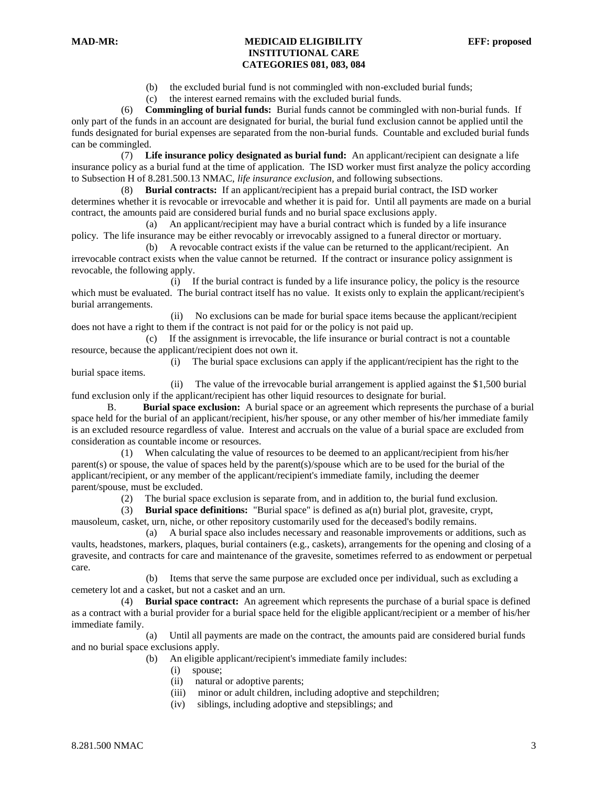(b) the excluded burial fund is not commingled with non-excluded burial funds;

(c) the interest earned remains with the excluded burial funds.

 (6) **Commingling of burial funds:** Burial funds cannot be commingled with non-burial funds. If only part of the funds in an account are designated for burial, the burial fund exclusion cannot be applied until the funds designated for burial expenses are separated from the non-burial funds. Countable and excluded burial funds can be commingled.

 (7) **Life insurance policy designated as burial fund:** An applicant/recipient can designate a life insurance policy as a burial fund at the time of application. The ISD worker must first analyze the policy according to Subsection H of 8.281.500.13 NMAC, *life insurance exclusion,* and following subsections.

 (8) **Burial contracts:** If an applicant/recipient has a prepaid burial contract, the ISD worker determines whether it is revocable or irrevocable and whether it is paid for. Until all payments are made on a burial contract, the amounts paid are considered burial funds and no burial space exclusions apply.

 (a) An applicant/recipient may have a burial contract which is funded by a life insurance policy. The life insurance may be either revocably or irrevocably assigned to a funeral director or mortuary.

 (b) A revocable contract exists if the value can be returned to the applicant/recipient. An irrevocable contract exists when the value cannot be returned. If the contract or insurance policy assignment is revocable, the following apply.

 (i) If the burial contract is funded by a life insurance policy, the policy is the resource which must be evaluated. The burial contract itself has no value. It exists only to explain the applicant/recipient's burial arrangements.

 (ii) No exclusions can be made for burial space items because the applicant/recipient does not have a right to them if the contract is not paid for or the policy is not paid up.

 (c) If the assignment is irrevocable, the life insurance or burial contract is not a countable resource, because the applicant/recipient does not own it.

 (i) The burial space exclusions can apply if the applicant/recipient has the right to the burial space items.

 (ii) The value of the irrevocable burial arrangement is applied against the \$1,500 burial fund exclusion only if the applicant/recipient has other liquid resources to designate for burial.

B. **Burial space exclusion:** A burial space or an agreement which represents the purchase of a burial space held for the burial of an applicant/recipient, his/her spouse, or any other member of his/her immediate family is an excluded resource regardless of value. Interest and accruals on the value of a burial space are excluded from consideration as countable income or resources.

 (1) When calculating the value of resources to be deemed to an applicant/recipient from his/her parent(s) or spouse, the value of spaces held by the parent(s)/spouse which are to be used for the burial of the applicant/recipient, or any member of the applicant/recipient's immediate family, including the deemer parent/spouse, must be excluded.

(2) The burial space exclusion is separate from, and in addition to, the burial fund exclusion.

 (3) **Burial space definitions:** "Burial space" is defined as a(n) burial plot, gravesite, crypt, mausoleum, casket, urn, niche, or other repository customarily used for the deceased's bodily remains.

 (a) A burial space also includes necessary and reasonable improvements or additions, such as vaults, headstones, markers, plaques, burial containers (e.g., caskets), arrangements for the opening and closing of a gravesite, and contracts for care and maintenance of the gravesite, sometimes referred to as endowment or perpetual care.

 (b) Items that serve the same purpose are excluded once per individual, such as excluding a cemetery lot and a casket, but not a casket and an urn.

 (4) **Burial space contract:** An agreement which represents the purchase of a burial space is defined as a contract with a burial provider for a burial space held for the eligible applicant/recipient or a member of his/her immediate family.

 (a) Until all payments are made on the contract, the amounts paid are considered burial funds and no burial space exclusions apply.

(b) An eligible applicant/recipient's immediate family includes:

- (i) spouse;
- (ii) natural or adoptive parents;
- (iii) minor or adult children, including adoptive and stepchildren;
- (iv) siblings, including adoptive and stepsiblings; and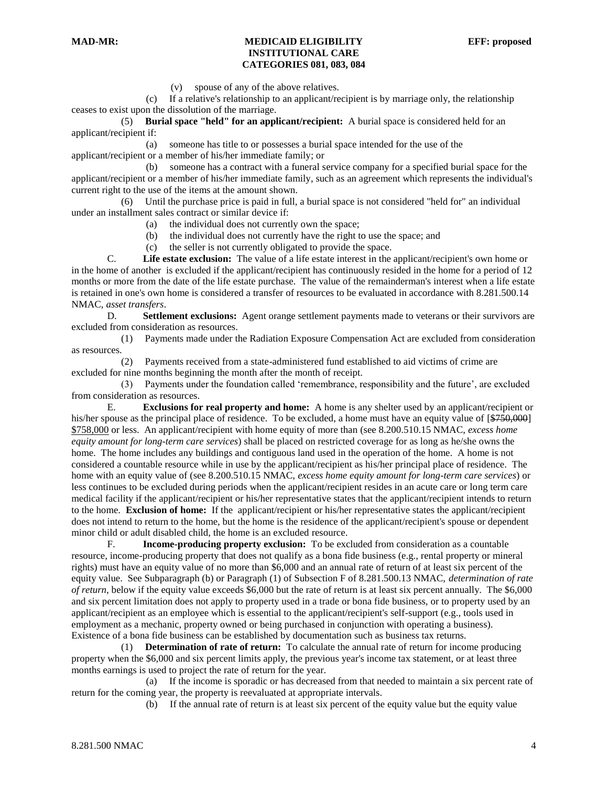(v) spouse of any of the above relatives.

 (c) If a relative's relationship to an applicant/recipient is by marriage only, the relationship ceases to exist upon the dissolution of the marriage.

 (5) **Burial space "held" for an applicant/recipient:** A burial space is considered held for an applicant/recipient if:

 (a) someone has title to or possesses a burial space intended for the use of the applicant/recipient or a member of his/her immediate family; or

 (b) someone has a contract with a funeral service company for a specified burial space for the applicant/recipient or a member of his/her immediate family, such as an agreement which represents the individual's current right to the use of the items at the amount shown.

 (6) Until the purchase price is paid in full, a burial space is not considered "held for" an individual under an installment sales contract or similar device if:

- (a) the individual does not currently own the space;
- (b) the individual does not currently have the right to use the space; and

(c) the seller is not currently obligated to provide the space.

C. **Life estate exclusion:** The value of a life estate interest in the applicant/recipient's own home or in the home of another is excluded if the applicant/recipient has continuously resided in the home for a period of 12 months or more from the date of the life estate purchase. The value of the remainderman's interest when a life estate is retained in one's own home is considered a transfer of resources to be evaluated in accordance with 8.281.500.14 NMAC, *asset transfers*.

D. **Settlement exclusions:** Agent orange settlement payments made to veterans or their survivors are excluded from consideration as resources.

 (1) Payments made under the Radiation Exposure Compensation Act are excluded from consideration as resources.

 (2) Payments received from a state-administered fund established to aid victims of crime are excluded for nine months beginning the month after the month of receipt.

 (3) Payments under the foundation called 'remembrance, responsibility and the future', are excluded from consideration as resources.

E. **Exclusions for real property and home:** A home is any shelter used by an applicant/recipient or his/her spouse as the principal place of residence. To be excluded, a home must have an equity value of  $\left[\frac{$750,000}{\text{m}}\right]$ \$758,000 or less. An applicant/recipient with home equity of more than (see 8.200.510.15 NMAC, *excess home equity amount for long-term care services*) shall be placed on restricted coverage for as long as he/she owns the home. The home includes any buildings and contiguous land used in the operation of the home. A home is not considered a countable resource while in use by the applicant/recipient as his/her principal place of residence. The home with an equity value of (see 8.200.510.15 NMAC, *excess home equity amount for long-term care services*) or less continues to be excluded during periods when the applicant/recipient resides in an acute care or long term care medical facility if the applicant/recipient or his/her representative states that the applicant/recipient intends to return to the home. **Exclusion of home:** If the applicant/recipient or his/her representative states the applicant/recipient does not intend to return to the home, but the home is the residence of the applicant/recipient's spouse or dependent minor child or adult disabled child, the home is an excluded resource.

F. **Income-producing property exclusion:** To be excluded from consideration as a countable resource, income-producing property that does not qualify as a bona fide business (e.g., rental property or mineral rights) must have an equity value of no more than \$6,000 and an annual rate of return of at least six percent of the equity value. See Subparagraph (b) or Paragraph (1) of Subsection F of 8.281.500.13 NMAC, *determination of rate of return*, below if the equity value exceeds \$6,000 but the rate of return is at least six percent annually. The \$6,000 and six percent limitation does not apply to property used in a trade or bona fide business, or to property used by an applicant/recipient as an employee which is essential to the applicant/recipient's self-support (e.g., tools used in employment as a mechanic, property owned or being purchased in conjunction with operating a business). Existence of a bona fide business can be established by documentation such as business tax returns.

 (1) **Determination of rate of return:** To calculate the annual rate of return for income producing property when the \$6,000 and six percent limits apply, the previous year's income tax statement, or at least three months earnings is used to project the rate of return for the year.

 (a) If the income is sporadic or has decreased from that needed to maintain a six percent rate of return for the coming year, the property is reevaluated at appropriate intervals.

(b) If the annual rate of return is at least six percent of the equity value but the equity value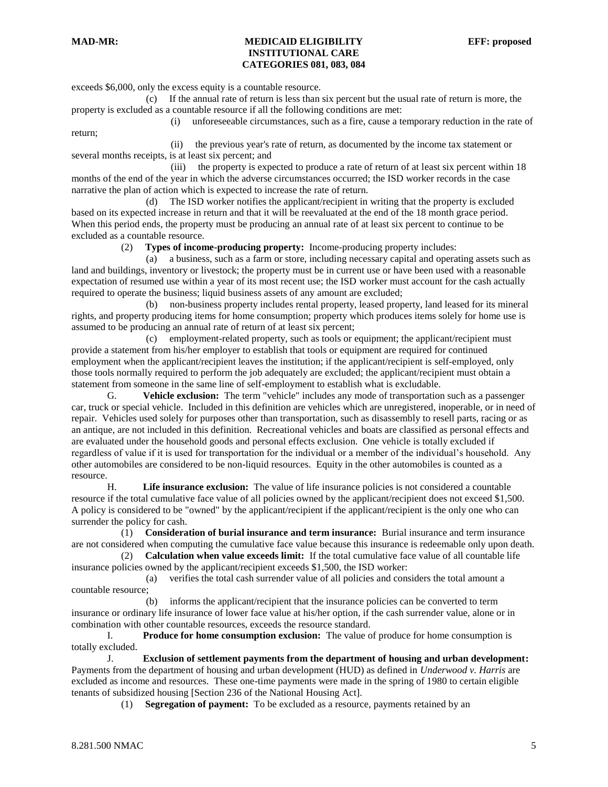return;

#### **MAD-MR: MEDICAID ELIGIBILITY EFF: proposed INSTITUTIONAL CARE CATEGORIES 081, 083, 084**

exceeds \$6,000, only the excess equity is a countable resource.

 (c) If the annual rate of return is less than six percent but the usual rate of return is more, the property is excluded as a countable resource if all the following conditions are met:

(i) unforeseeable circumstances, such as a fire, cause a temporary reduction in the rate of

 (ii) the previous year's rate of return, as documented by the income tax statement or several months receipts, is at least six percent; and

 (iii) the property is expected to produce a rate of return of at least six percent within 18 months of the end of the year in which the adverse circumstances occurred; the ISD worker records in the case narrative the plan of action which is expected to increase the rate of return.

 (d) The ISD worker notifies the applicant/recipient in writing that the property is excluded based on its expected increase in return and that it will be reevaluated at the end of the 18 month grace period. When this period ends, the property must be producing an annual rate of at least six percent to continue to be excluded as a countable resource.

(2) **Types of income-producing property:** Income-producing property includes:

 (a) a business, such as a farm or store, including necessary capital and operating assets such as land and buildings, inventory or livestock; the property must be in current use or have been used with a reasonable expectation of resumed use within a year of its most recent use; the ISD worker must account for the cash actually required to operate the business; liquid business assets of any amount are excluded;

 (b) non-business property includes rental property, leased property, land leased for its mineral rights, and property producing items for home consumption; property which produces items solely for home use is assumed to be producing an annual rate of return of at least six percent;

 (c) employment-related property, such as tools or equipment; the applicant/recipient must provide a statement from his/her employer to establish that tools or equipment are required for continued employment when the applicant/recipient leaves the institution; if the applicant/recipient is self-employed, only those tools normally required to perform the job adequately are excluded; the applicant/recipient must obtain a statement from someone in the same line of self-employment to establish what is excludable.

G. **Vehicle exclusion:** The term "vehicle" includes any mode of transportation such as a passenger car, truck or special vehicle. Included in this definition are vehicles which are unregistered, inoperable, or in need of repair. Vehicles used solely for purposes other than transportation, such as disassembly to resell parts, racing or as an antique, are not included in this definition. Recreational vehicles and boats are classified as personal effects and are evaluated under the household goods and personal effects exclusion. One vehicle is totally excluded if regardless of value if it is used for transportation for the individual or a member of the individual's household. Any other automobiles are considered to be non-liquid resources. Equity in the other automobiles is counted as a resource.

H. **Life insurance exclusion:** The value of life insurance policies is not considered a countable resource if the total cumulative face value of all policies owned by the applicant/recipient does not exceed \$1,500. A policy is considered to be "owned" by the applicant/recipient if the applicant/recipient is the only one who can surrender the policy for cash.

 (1) **Consideration of burial insurance and term insurance:** Burial insurance and term insurance are not considered when computing the cumulative face value because this insurance is redeemable only upon death.

 (2) **Calculation when value exceeds limit:** If the total cumulative face value of all countable life insurance policies owned by the applicant/recipient exceeds \$1,500, the ISD worker:

 (a) verifies the total cash surrender value of all policies and considers the total amount a countable resource;

 (b) informs the applicant/recipient that the insurance policies can be converted to term insurance or ordinary life insurance of lower face value at his/her option, if the cash surrender value, alone or in combination with other countable resources, exceeds the resource standard.

I. **Produce for home consumption exclusion:** The value of produce for home consumption is totally excluded.

J. **Exclusion of settlement payments from the department of housing and urban development:** Payments from the department of housing and urban development (HUD) as defined in *Underwood v. Harris* are excluded as income and resources. These one-time payments were made in the spring of 1980 to certain eligible tenants of subsidized housing [Section 236 of the National Housing Act].

(1) **Segregation of payment:** To be excluded as a resource, payments retained by an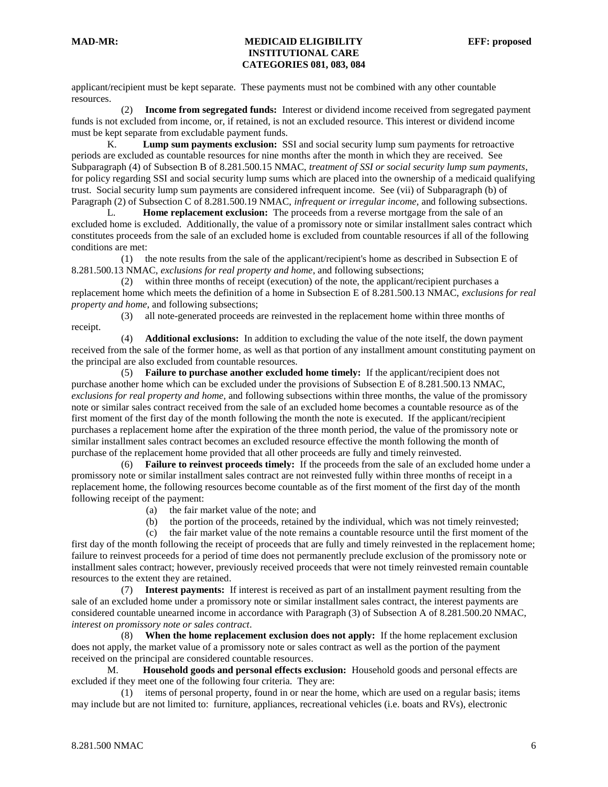applicant/recipient must be kept separate. These payments must not be combined with any other countable resources.

 (2) **Income from segregated funds:** Interest or dividend income received from segregated payment funds is not excluded from income, or, if retained, is not an excluded resource. This interest or dividend income must be kept separate from excludable payment funds.

K. **Lump sum payments exclusion:** SSI and social security lump sum payments for retroactive periods are excluded as countable resources for nine months after the month in which they are received. See Subparagraph (4) of Subsection B of 8.281.500.15 NMAC, *treatment of SSI or social security lump sum payments*, for policy regarding SSI and social security lump sums which are placed into the ownership of a medicaid qualifying trust. Social security lump sum payments are considered infrequent income. See (vii) of Subparagraph (b) of Paragraph (2) of Subsection C of 8.281.500.19 NMAC, *infrequent or irregular income,* and following subsections.

L. **Home replacement exclusion:** The proceeds from a reverse mortgage from the sale of an excluded home is excluded. Additionally, the value of a promissory note or similar installment sales contract which constitutes proceeds from the sale of an excluded home is excluded from countable resources if all of the following conditions are met:

 (1) the note results from the sale of the applicant/recipient's home as described in Subsection E of 8.281.500.13 NMAC, *exclusions for real property and home*, and following subsections;

 (2) within three months of receipt (execution) of the note, the applicant/recipient purchases a replacement home which meets the definition of a home in Subsection E of 8.281.500.13 NMAC, *exclusions for real property and home*, and following subsections;

 (3) all note-generated proceeds are reinvested in the replacement home within three months of receipt.

 (4) **Additional exclusions:** In addition to excluding the value of the note itself, the down payment received from the sale of the former home, as well as that portion of any installment amount constituting payment on the principal are also excluded from countable resources.

 (5) **Failure to purchase another excluded home timely:** If the applicant/recipient does not purchase another home which can be excluded under the provisions of Subsection E of 8.281.500.13 NMAC, *exclusions for real property and home,* and following subsections within three months, the value of the promissory note or similar sales contract received from the sale of an excluded home becomes a countable resource as of the first moment of the first day of the month following the month the note is executed. If the applicant/recipient purchases a replacement home after the expiration of the three month period, the value of the promissory note or similar installment sales contract becomes an excluded resource effective the month following the month of purchase of the replacement home provided that all other proceeds are fully and timely reinvested.

 (6) **Failure to reinvest proceeds timely:** If the proceeds from the sale of an excluded home under a promissory note or similar installment sales contract are not reinvested fully within three months of receipt in a replacement home, the following resources become countable as of the first moment of the first day of the month following receipt of the payment:

- (a) the fair market value of the note; and
- (b) the portion of the proceeds, retained by the individual, which was not timely reinvested;

 (c) the fair market value of the note remains a countable resource until the first moment of the first day of the month following the receipt of proceeds that are fully and timely reinvested in the replacement home; failure to reinvest proceeds for a period of time does not permanently preclude exclusion of the promissory note or installment sales contract; however, previously received proceeds that were not timely reinvested remain countable resources to the extent they are retained.

 (7) **Interest payments:** If interest is received as part of an installment payment resulting from the sale of an excluded home under a promissory note or similar installment sales contract, the interest payments are considered countable unearned income in accordance with Paragraph (3) of Subsection A of 8.281.500.20 NMAC, *interest on promissory note or sales contract*.

 (8) **When the home replacement exclusion does not apply:** If the home replacement exclusion does not apply, the market value of a promissory note or sales contract as well as the portion of the payment received on the principal are considered countable resources.

M. **Household goods and personal effects exclusion:** Household goods and personal effects are excluded if they meet one of the following four criteria. They are:

 (1) items of personal property, found in or near the home, which are used on a regular basis; items may include but are not limited to: furniture, appliances, recreational vehicles (i.e. boats and RVs), electronic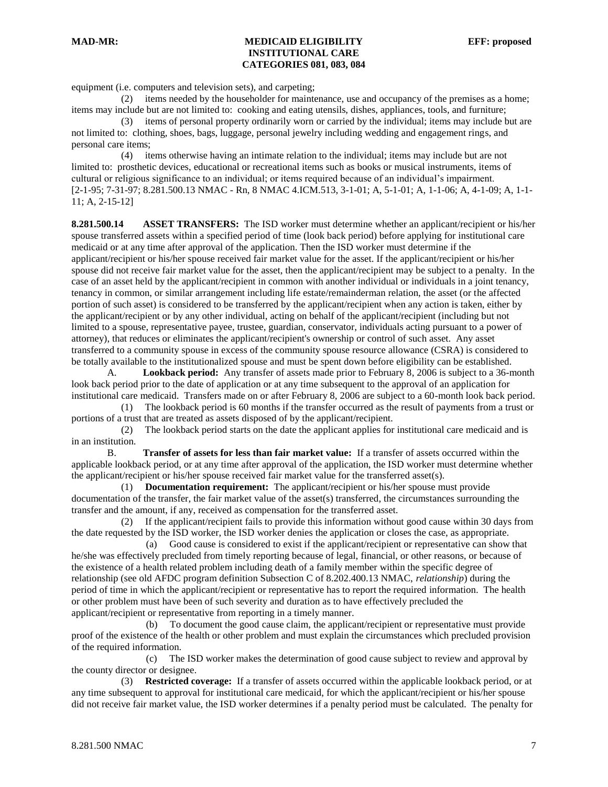equipment (i.e. computers and television sets), and carpeting;

 (2) items needed by the householder for maintenance, use and occupancy of the premises as a home; items may include but are not limited to: cooking and eating utensils, dishes, appliances, tools, and furniture;

 (3) items of personal property ordinarily worn or carried by the individual; items may include but are not limited to: clothing, shoes, bags, luggage, personal jewelry including wedding and engagement rings, and personal care items;

 (4) items otherwise having an intimate relation to the individual; items may include but are not limited to: prosthetic devices, educational or recreational items such as books or musical instruments, items of cultural or religious significance to an individual; or items required because of an individual's impairment. [2-1-95; 7-31-97; 8.281.500.13 NMAC - Rn, 8 NMAC 4.ICM.513, 3-1-01; A, 5-1-01; A, 1-1-06; A, 4-1-09; A, 1-1- 11; A, 2-15-12]

**8.281.500.14 ASSET TRANSFERS:** The ISD worker must determine whether an applicant/recipient or his/her spouse transferred assets within a specified period of time (look back period) before applying for institutional care medicaid or at any time after approval of the application. Then the ISD worker must determine if the applicant/recipient or his/her spouse received fair market value for the asset. If the applicant/recipient or his/her spouse did not receive fair market value for the asset, then the applicant/recipient may be subject to a penalty. In the case of an asset held by the applicant/recipient in common with another individual or individuals in a joint tenancy, tenancy in common, or similar arrangement including life estate/remainderman relation, the asset (or the affected portion of such asset) is considered to be transferred by the applicant/recipient when any action is taken, either by the applicant/recipient or by any other individual, acting on behalf of the applicant/recipient (including but not limited to a spouse, representative payee, trustee, guardian, conservator, individuals acting pursuant to a power of attorney), that reduces or eliminates the applicant/recipient's ownership or control of such asset. Any asset transferred to a community spouse in excess of the community spouse resource allowance (CSRA) is considered to be totally available to the institutionalized spouse and must be spent down before eligibility can be established.

A. **Lookback period:** Any transfer of assets made prior to February 8, 2006 is subject to a 36-month look back period prior to the date of application or at any time subsequent to the approval of an application for institutional care medicaid. Transfers made on or after February 8, 2006 are subject to a 60-month look back period.

 (1) The lookback period is 60 months if the transfer occurred as the result of payments from a trust or portions of a trust that are treated as assets disposed of by the applicant/recipient.

 (2) The lookback period starts on the date the applicant applies for institutional care medicaid and is in an institution.

B. **Transfer of assets for less than fair market value:** If a transfer of assets occurred within the applicable lookback period, or at any time after approval of the application, the ISD worker must determine whether the applicant/recipient or his/her spouse received fair market value for the transferred asset(s).

 (1) **Documentation requirement:** The applicant/recipient or his/her spouse must provide documentation of the transfer, the fair market value of the asset(s) transferred, the circumstances surrounding the transfer and the amount, if any, received as compensation for the transferred asset.

 (2) If the applicant/recipient fails to provide this information without good cause within 30 days from the date requested by the ISD worker, the ISD worker denies the application or closes the case, as appropriate.

 (a) Good cause is considered to exist if the applicant/recipient or representative can show that he/she was effectively precluded from timely reporting because of legal, financial, or other reasons, or because of the existence of a health related problem including death of a family member within the specific degree of relationship (see old AFDC program definition Subsection C of 8.202.400.13 NMAC, *relationship*) during the period of time in which the applicant/recipient or representative has to report the required information. The health or other problem must have been of such severity and duration as to have effectively precluded the applicant/recipient or representative from reporting in a timely manner.

 (b) To document the good cause claim, the applicant/recipient or representative must provide proof of the existence of the health or other problem and must explain the circumstances which precluded provision of the required information.

 (c) The ISD worker makes the determination of good cause subject to review and approval by the county director or designee.

 (3) **Restricted coverage:** If a transfer of assets occurred within the applicable lookback period, or at any time subsequent to approval for institutional care medicaid, for which the applicant/recipient or his/her spouse did not receive fair market value, the ISD worker determines if a penalty period must be calculated. The penalty for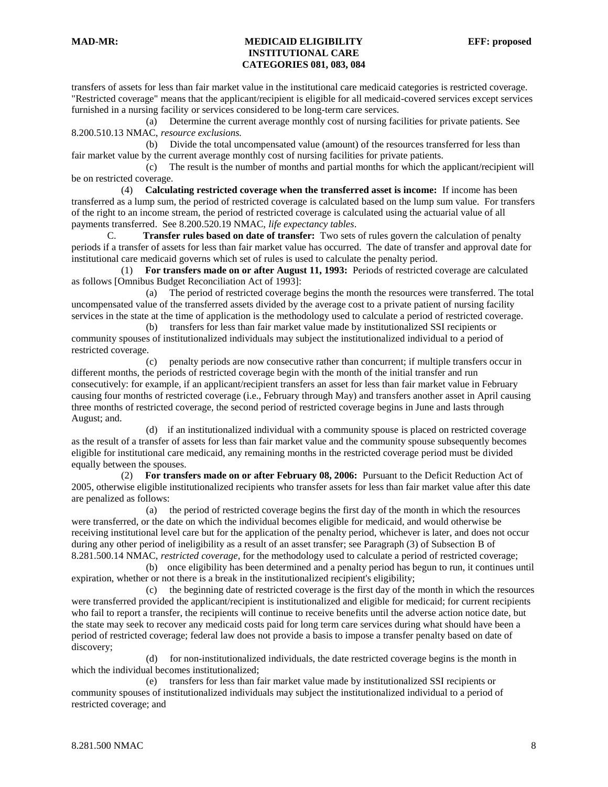transfers of assets for less than fair market value in the institutional care medicaid categories is restricted coverage. "Restricted coverage" means that the applicant/recipient is eligible for all medicaid-covered services except services furnished in a nursing facility or services considered to be long-term care services.

 (a) Determine the current average monthly cost of nursing facilities for private patients. See 8.200.510.13 NMAC, *resource exclusions.*

 (b) Divide the total uncompensated value (amount) of the resources transferred for less than fair market value by the current average monthly cost of nursing facilities for private patients.

 (c) The result is the number of months and partial months for which the applicant/recipient will be on restricted coverage.

 (4) **Calculating restricted coverage when the transferred asset is income:** If income has been transferred as a lump sum, the period of restricted coverage is calculated based on the lump sum value. For transfers of the right to an income stream, the period of restricted coverage is calculated using the actuarial value of all payments transferred. See 8.200.520.19 NMAC, *life expectancy tables*.

C. **Transfer rules based on date of transfer:** Two sets of rules govern the calculation of penalty periods if a transfer of assets for less than fair market value has occurred. The date of transfer and approval date for institutional care medicaid governs which set of rules is used to calculate the penalty period.

 (1) **For transfers made on or after August 11, 1993:** Periods of restricted coverage are calculated as follows [Omnibus Budget Reconciliation Act of 1993]:

 (a) The period of restricted coverage begins the month the resources were transferred. The total uncompensated value of the transferred assets divided by the average cost to a private patient of nursing facility services in the state at the time of application is the methodology used to calculate a period of restricted coverage.

 (b) transfers for less than fair market value made by institutionalized SSI recipients or community spouses of institutionalized individuals may subject the institutionalized individual to a period of restricted coverage.

 (c) penalty periods are now consecutive rather than concurrent; if multiple transfers occur in different months, the periods of restricted coverage begin with the month of the initial transfer and run consecutively: for example, if an applicant/recipient transfers an asset for less than fair market value in February causing four months of restricted coverage (i.e., February through May) and transfers another asset in April causing three months of restricted coverage, the second period of restricted coverage begins in June and lasts through August; and.

 (d) if an institutionalized individual with a community spouse is placed on restricted coverage as the result of a transfer of assets for less than fair market value and the community spouse subsequently becomes eligible for institutional care medicaid, any remaining months in the restricted coverage period must be divided equally between the spouses.

 (2) **For transfers made on or after February 08, 2006:** Pursuant to the Deficit Reduction Act of 2005, otherwise eligible institutionalized recipients who transfer assets for less than fair market value after this date are penalized as follows:

 (a) the period of restricted coverage begins the first day of the month in which the resources were transferred, or the date on which the individual becomes eligible for medicaid, and would otherwise be receiving institutional level care but for the application of the penalty period, whichever is later, and does not occur during any other period of ineligibility as a result of an asset transfer; see Paragraph (3) of Subsection B of 8.281.500.14 NMAC, *restricted coverage*, for the methodology used to calculate a period of restricted coverage;

 (b) once eligibility has been determined and a penalty period has begun to run, it continues until expiration, whether or not there is a break in the institutionalized recipient's eligibility;

 (c) the beginning date of restricted coverage is the first day of the month in which the resources were transferred provided the applicant/recipient is institutionalized and eligible for medicaid; for current recipients who fail to report a transfer, the recipients will continue to receive benefits until the adverse action notice date, but the state may seek to recover any medicaid costs paid for long term care services during what should have been a period of restricted coverage; federal law does not provide a basis to impose a transfer penalty based on date of discovery;

 (d) for non-institutionalized individuals, the date restricted coverage begins is the month in which the individual becomes institutionalized;

 (e) transfers for less than fair market value made by institutionalized SSI recipients or community spouses of institutionalized individuals may subject the institutionalized individual to a period of restricted coverage; and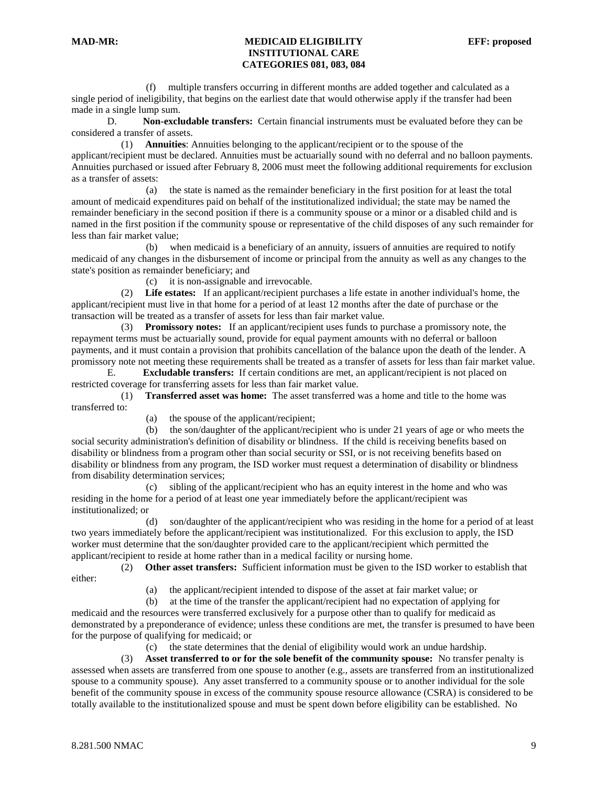(f) multiple transfers occurring in different months are added together and calculated as a single period of ineligibility, that begins on the earliest date that would otherwise apply if the transfer had been made in a single lump sum.

D. **Non-excludable transfers:** Certain financial instruments must be evaluated before they can be considered a transfer of assets.

 (1) **Annuities**: Annuities belonging to the applicant/recipient or to the spouse of the applicant/recipient must be declared. Annuities must be actuarially sound with no deferral and no balloon payments. Annuities purchased or issued after February 8, 2006 must meet the following additional requirements for exclusion as a transfer of assets:

 (a) the state is named as the remainder beneficiary in the first position for at least the total amount of medicaid expenditures paid on behalf of the institutionalized individual; the state may be named the remainder beneficiary in the second position if there is a community spouse or a minor or a disabled child and is named in the first position if the community spouse or representative of the child disposes of any such remainder for less than fair market value;

 (b) when medicaid is a beneficiary of an annuity, issuers of annuities are required to notify medicaid of any changes in the disbursement of income or principal from the annuity as well as any changes to the state's position as remainder beneficiary; and

(c) it is non-assignable and irrevocable.

 (2) **Life estates:** If an applicant/recipient purchases a life estate in another individual's home, the applicant/recipient must live in that home for a period of at least 12 months after the date of purchase or the transaction will be treated as a transfer of assets for less than fair market value.

 (3) **Promissory notes:** If an applicant/recipient uses funds to purchase a promissory note, the repayment terms must be actuarially sound, provide for equal payment amounts with no deferral or balloon payments, and it must contain a provision that prohibits cancellation of the balance upon the death of the lender. A promissory note not meeting these requirements shall be treated as a transfer of assets for less than fair market value.

E. **Excludable transfers:** If certain conditions are met, an applicant/recipient is not placed on restricted coverage for transferring assets for less than fair market value.

 (1) **Transferred asset was home:** The asset transferred was a home and title to the home was transferred to:

(a) the spouse of the applicant/recipient;

 (b) the son/daughter of the applicant/recipient who is under 21 years of age or who meets the social security administration's definition of disability or blindness. If the child is receiving benefits based on disability or blindness from a program other than social security or SSI, or is not receiving benefits based on disability or blindness from any program, the ISD worker must request a determination of disability or blindness from disability determination services;

 (c) sibling of the applicant/recipient who has an equity interest in the home and who was residing in the home for a period of at least one year immediately before the applicant/recipient was institutionalized; or

 (d) son/daughter of the applicant/recipient who was residing in the home for a period of at least two years immediately before the applicant/recipient was institutionalized. For this exclusion to apply, the ISD worker must determine that the son/daughter provided care to the applicant/recipient which permitted the applicant/recipient to reside at home rather than in a medical facility or nursing home.

 (2) **Other asset transfers:** Sufficient information must be given to the ISD worker to establish that either:

(a) the applicant/recipient intended to dispose of the asset at fair market value; or

 (b) at the time of the transfer the applicant/recipient had no expectation of applying for medicaid and the resources were transferred exclusively for a purpose other than to qualify for medicaid as demonstrated by a preponderance of evidence; unless these conditions are met, the transfer is presumed to have been for the purpose of qualifying for medicaid; or

(c) the state determines that the denial of eligibility would work an undue hardship.

 (3) **Asset transferred to or for the sole benefit of the community spouse:** No transfer penalty is assessed when assets are transferred from one spouse to another (e.g., assets are transferred from an institutionalized spouse to a community spouse). Any asset transferred to a community spouse or to another individual for the sole benefit of the community spouse in excess of the community spouse resource allowance (CSRA) is considered to be totally available to the institutionalized spouse and must be spent down before eligibility can be established. No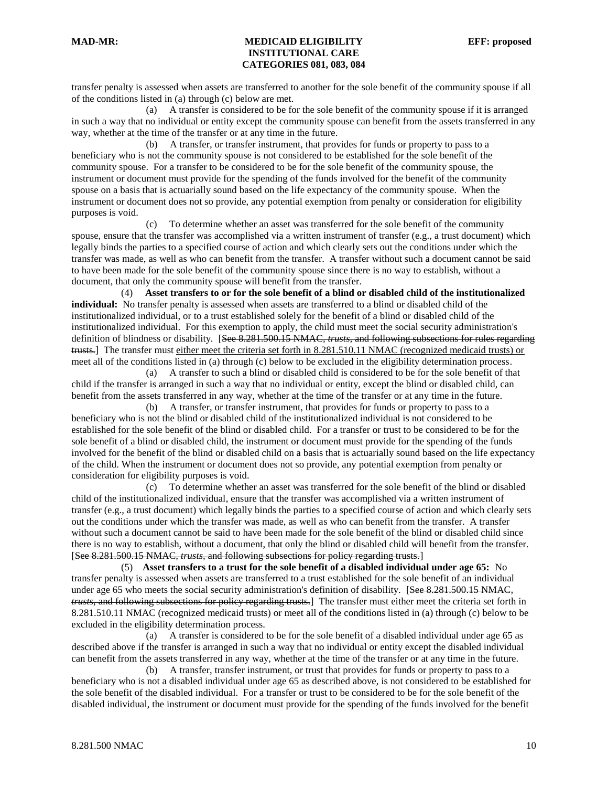transfer penalty is assessed when assets are transferred to another for the sole benefit of the community spouse if all of the conditions listed in (a) through (c) below are met.

 (a) A transfer is considered to be for the sole benefit of the community spouse if it is arranged in such a way that no individual or entity except the community spouse can benefit from the assets transferred in any way, whether at the time of the transfer or at any time in the future.

 (b) A transfer, or transfer instrument, that provides for funds or property to pass to a beneficiary who is not the community spouse is not considered to be established for the sole benefit of the community spouse. For a transfer to be considered to be for the sole benefit of the community spouse, the instrument or document must provide for the spending of the funds involved for the benefit of the community spouse on a basis that is actuarially sound based on the life expectancy of the community spouse. When the instrument or document does not so provide, any potential exemption from penalty or consideration for eligibility purposes is void.

 (c) To determine whether an asset was transferred for the sole benefit of the community spouse, ensure that the transfer was accomplished via a written instrument of transfer (e.g., a trust document) which legally binds the parties to a specified course of action and which clearly sets out the conditions under which the transfer was made, as well as who can benefit from the transfer. A transfer without such a document cannot be said to have been made for the sole benefit of the community spouse since there is no way to establish, without a document, that only the community spouse will benefit from the transfer.

 (4) **Asset transfers to or for the sole benefit of a blind or disabled child of the institutionalized individual:** No transfer penalty is assessed when assets are transferred to a blind or disabled child of the institutionalized individual, or to a trust established solely for the benefit of a blind or disabled child of the institutionalized individual. For this exemption to apply, the child must meet the social security administration's definition of blindness or disability. [See 8.281.500.15 NMAC*, trusts,* and following subsections for rules regarding trusts.] The transfer must either meet the criteria set forth in 8.281.510.11 NMAC (recognized medicaid trusts) or meet all of the conditions listed in (a) through (c) below to be excluded in the eligibility determination process.

 (a) A transfer to such a blind or disabled child is considered to be for the sole benefit of that child if the transfer is arranged in such a way that no individual or entity, except the blind or disabled child, can benefit from the assets transferred in any way, whether at the time of the transfer or at any time in the future.

 (b) A transfer, or transfer instrument, that provides for funds or property to pass to a beneficiary who is not the blind or disabled child of the institutionalized individual is not considered to be established for the sole benefit of the blind or disabled child. For a transfer or trust to be considered to be for the sole benefit of a blind or disabled child, the instrument or document must provide for the spending of the funds involved for the benefit of the blind or disabled child on a basis that is actuarially sound based on the life expectancy of the child. When the instrument or document does not so provide, any potential exemption from penalty or consideration for eligibility purposes is void.

 (c) To determine whether an asset was transferred for the sole benefit of the blind or disabled child of the institutionalized individual, ensure that the transfer was accomplished via a written instrument of transfer (e.g., a trust document) which legally binds the parties to a specified course of action and which clearly sets out the conditions under which the transfer was made, as well as who can benefit from the transfer. A transfer without such a document cannot be said to have been made for the sole benefit of the blind or disabled child since there is no way to establish, without a document, that only the blind or disabled child will benefit from the transfer. [See 8.281.500.15 NMAC*, trusts,* and following subsections for policy regarding trusts.]

 (5) **Asset transfers to a trust for the sole benefit of a disabled individual under age 65:** No transfer penalty is assessed when assets are transferred to a trust established for the sole benefit of an individual under age 65 who meets the social security administration's definition of disability. [See 8.281.500.15 NMAC*, trusts,* and following subsections for policy regarding trusts.] The transfer must either meet the criteria set forth in 8.281.510.11 NMAC (recognized medicaid trusts) or meet all of the conditions listed in (a) through (c) below to be excluded in the eligibility determination process.

 (a) A transfer is considered to be for the sole benefit of a disabled individual under age 65 as described above if the transfer is arranged in such a way that no individual or entity except the disabled individual can benefit from the assets transferred in any way, whether at the time of the transfer or at any time in the future.

 (b) A transfer, transfer instrument, or trust that provides for funds or property to pass to a beneficiary who is not a disabled individual under age 65 as described above, is not considered to be established for the sole benefit of the disabled individual. For a transfer or trust to be considered to be for the sole benefit of the disabled individual, the instrument or document must provide for the spending of the funds involved for the benefit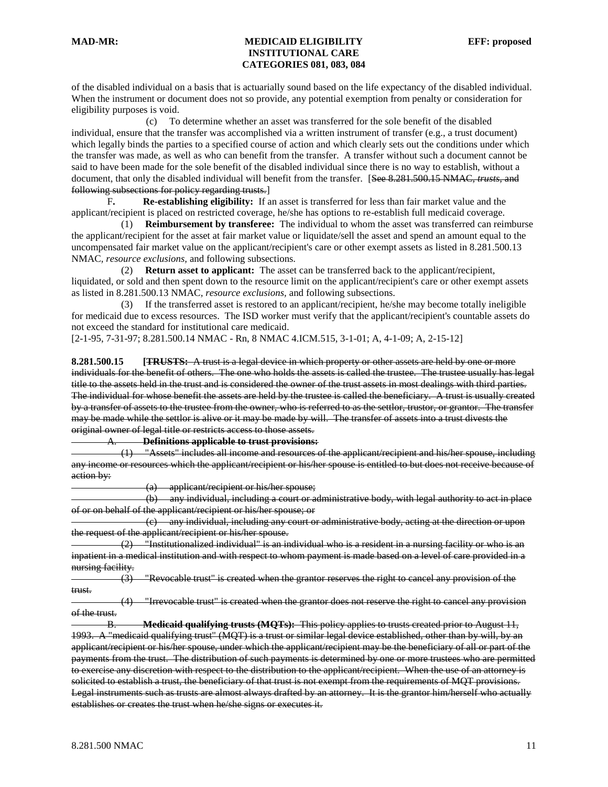of the disabled individual on a basis that is actuarially sound based on the life expectancy of the disabled individual. When the instrument or document does not so provide, any potential exemption from penalty or consideration for eligibility purposes is void.

 (c) To determine whether an asset was transferred for the sole benefit of the disabled individual, ensure that the transfer was accomplished via a written instrument of transfer (e.g., a trust document) which legally binds the parties to a specified course of action and which clearly sets out the conditions under which the transfer was made, as well as who can benefit from the transfer. A transfer without such a document cannot be said to have been made for the sole benefit of the disabled individual since there is no way to establish, without a document, that only the disabled individual will benefit from the transfer. [See 8.281.500.15 NMAC*, trusts,* and following subsections for policy regarding trusts.]

F**. Re-establishing eligibility:** If an asset is transferred for less than fair market value and the applicant/recipient is placed on restricted coverage, he/she has options to re-establish full medicaid coverage.

 (1) **Reimbursement by transferee:** The individual to whom the asset was transferred can reimburse the applicant/recipient for the asset at fair market value or liquidate/sell the asset and spend an amount equal to the uncompensated fair market value on the applicant/recipient's care or other exempt assets as listed in 8.281.500.13 NMAC*, resource exclusions,* and following subsections.

 (2) **Return asset to applicant:** The asset can be transferred back to the applicant/recipient, liquidated, or sold and then spent down to the resource limit on the applicant/recipient's care or other exempt assets as listed in 8.281.500.13 NMAC*, resource exclusions,* and following subsections.

 (3) If the transferred asset is restored to an applicant/recipient, he/she may become totally ineligible for medicaid due to excess resources. The ISD worker must verify that the applicant/recipient's countable assets do not exceed the standard for institutional care medicaid.

[2-1-95, 7-31-97; 8.281.500.14 NMAC - Rn, 8 NMAC 4.ICM.515, 3-1-01; A, 4-1-09; A, 2-15-12]

**8.281.500.15 [TRUSTS:** A trust is a legal device in which property or other assets are held by one or more individuals for the benefit of others. The one who holds the assets is called the trustee. The trustee usually has legal title to the assets held in the trust and is considered the owner of the trust assets in most dealings with third parties. The individual for whose benefit the assets are held by the trustee is called the beneficiary. A trust is usually created by a transfer of assets to the trustee from the owner, who is referred to as the settlor, trustor, or grantor. The transfer may be made while the settlor is alive or it may be made by will. The transfer of assets into a trust divests the original owner of legal title or restricts access to those assets.

A. **Definitions applicable to trust provisions:**

 (1) "Assets" includes all income and resources of the applicant/recipient and his/her spouse, including any income or resources which the applicant/recipient or his/her spouse is entitled to but does not receive because of action by:

(a) applicant/recipient or his/her spouse;

 (b) any individual, including a court or administrative body, with legal authority to act in place of or on behalf of the applicant/recipient or his/her spouse; or

 (c) any individual, including any court or administrative body, acting at the direction or upon the request of the applicant/recipient or his/her spouse.

 (2) "Institutionalized individual" is an individual who is a resident in a nursing facility or who is an inpatient in a medical institution and with respect to whom payment is made based on a level of care provided in a nursing facility.

 (3) "Revocable trust" is created when the grantor reserves the right to cancel any provision of the trust.

 (4) "Irrevocable trust" is created when the grantor does not reserve the right to cancel any provision of the trust.

B. **Medicaid qualifying trusts (MQTs):** This policy applies to trusts created prior to August 11, 1993. A "medicaid qualifying trust" (MQT) is a trust or similar legal device established, other than by will, by an applicant/recipient or his/her spouse, under which the applicant/recipient may be the beneficiary of all or part of the payments from the trust. The distribution of such payments is determined by one or more trustees who are permitted to exercise any discretion with respect to the distribution to the applicant/recipient. When the use of an attorney is solicited to establish a trust, the beneficiary of that trust is not exempt from the requirements of MQT provisions. Legal instruments such as trusts are almost always drafted by an attorney. It is the grantor him/herself who actually establishes or creates the trust when he/she signs or executes it.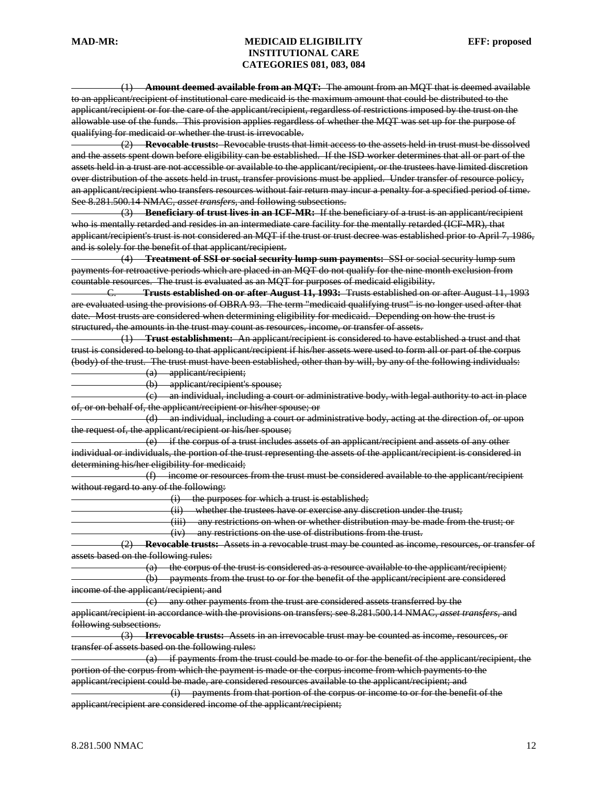(1) **Amount deemed available from an MQT:** The amount from an MQT that is deemed available to an applicant/recipient of institutional care medicaid is the maximum amount that could be distributed to the applicant/recipient or for the care of the applicant/recipient, regardless of restrictions imposed by the trust on the allowable use of the funds. This provision applies regardless of whether the MQT was set up for the purpose of qualifying for medicaid or whether the trust is irrevocable.

 (2) **Revocable trusts:** Revocable trusts that limit access to the assets held in trust must be dissolved and the assets spent down before eligibility can be established. If the ISD worker determines that all or part of the assets held in a trust are not accessible or available to the applicant/recipient, or the trustees have limited discretion over distribution of the assets held in trust, transfer provisions must be applied. Under transfer of resource policy, an applicant/recipient who transfers resources without fair return may incur a penalty for a specified period of time. See 8.281.500.14 NMAC*, asset transfers,* and following subsections.

 (3) **Beneficiary of trust lives in an ICF-MR:** If the beneficiary of a trust is an applicant/recipient who is mentally retarded and resides in an intermediate care facility for the mentally retarded (ICF-MR), that applicant/recipient's trust is not considered an MQT if the trust or trust decree was established prior to April 7, 1986, and is solely for the benefit of that applicant/recipient.

 (4) **Treatment of SSI or social security lump sum payments:** SSI or social security lump sum payments for retroactive periods which are placed in an MQT do not qualify for the nine month exclusion from countable resources. The trust is evaluated as an MQT for purposes of medicaid eligibility.

C. **Trusts established on or after August 11, 1993:** Trusts established on or after August 11, 1993 are evaluated using the provisions of OBRA 93. The term "medicaid qualifying trust" is no longer used after that date. Most trusts are considered when determining eligibility for medicaid. Depending on how the trust is structured, the amounts in the trust may count as resources, income, or transfer of assets.

 (1) **Trust establishment:** An applicant/recipient is considered to have established a trust and that trust is considered to belong to that applicant/recipient if his/her assets were used to form all or part of the corpus (body) of the trust. The trust must have been established, other than by will, by any of the following individuals:

(a) applicant/recipient;

(b) applicant/recipient's spouse;

 (c) an individual, including a court or administrative body, with legal authority to act in place of, or on behalf of, the applicant/recipient or his/her spouse; or

 (d) an individual, including a court or administrative body, acting at the direction of, or upon the request of, the applicant/recipient or his/her spouse;

 (e) if the corpus of a trust includes assets of an applicant/recipient and assets of any other individual or individuals, the portion of the trust representing the assets of the applicant/recipient is considered in determining his/her eligibility for medicaid;

 (f) income or resources from the trust must be considered available to the applicant/recipient without regard to any of the following:

(i) the purposes for which a trust is established;

(ii) whether the trustees have or exercise any discretion under the trust;

(iii) any restrictions on when or whether distribution may be made from the trust; or

(iv) any restrictions on the use of distributions from the trust.

 (2) **Revocable trusts:** Assets in a revocable trust may be counted as income, resources, or transfer of assets based on the following rules:

(a) the corpus of the trust is considered as a resource available to the applicant/recipient;

 (b) payments from the trust to or for the benefit of the applicant/recipient are considered income of the applicant/recipient; and

(c) any other payments from the trust are considered assets transferred by the

applicant/recipient in accordance with the provisions on transfers; see 8.281.500.14 NMAC*, asset transfers,* and following subsections.

 (3) **Irrevocable trusts:** Assets in an irrevocable trust may be counted as income, resources, or transfer of assets based on the following rules:

 $(a)$  if payments from the trust could be made to or for the benefit of the applicant/recipient, the portion of the corpus from which the payment is made or the corpus income from which payments to the applicant/recipient could be made, are considered resources available to the applicant/recipient; and

 (i) payments from that portion of the corpus or income to or for the benefit of the applicant/recipient are considered income of the applicant/recipient;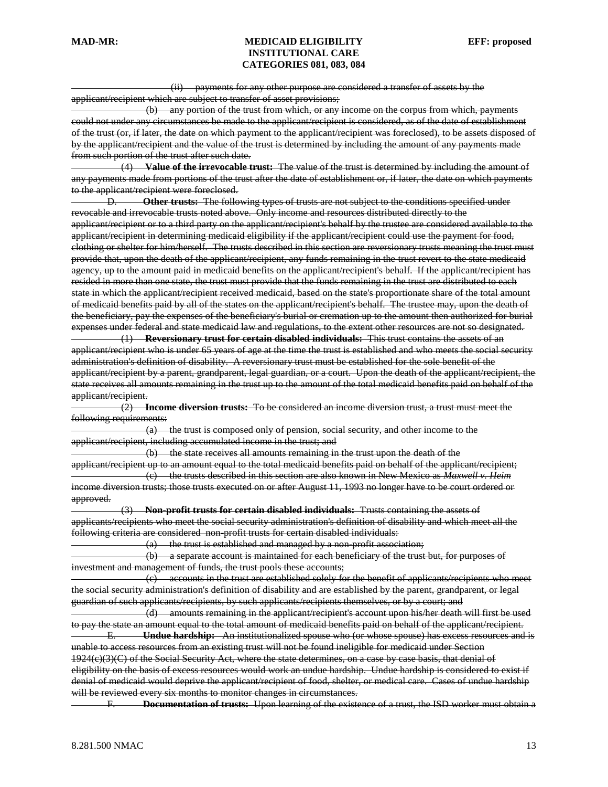(ii) payments for any other purpose are considered a transfer of assets by the

applicant/recipient which are subject to transfer of asset provisions;

 (b) any portion of the trust from which, or any income on the corpus from which, payments could not under any circumstances be made to the applicant/recipient is considered, as of the date of establishment of the trust (or, if later, the date on which payment to the applicant/recipient was foreclosed), to be assets disposed of by the applicant/recipient and the value of the trust is determined by including the amount of any payments made from such portion of the trust after such date.

 (4) **Value of the irrevocable trust:** The value of the trust is determined by including the amount of any payments made from portions of the trust after the date of establishment or, if later, the date on which payments to the applicant/recipient were foreclosed.

D. **Other trusts:** The following types of trusts are not subject to the conditions specified under revocable and irrevocable trusts noted above. Only income and resources distributed directly to the applicant/recipient or to a third party on the applicant/recipient's behalf by the trustee are considered available to the applicant/recipient in determining medicaid eligibility if the applicant/recipient could use the payment for food, clothing or shelter for him/herself. The trusts described in this section are reversionary trusts meaning the trust must provide that, upon the death of the applicant/recipient, any funds remaining in the trust revert to the state medicaid agency, up to the amount paid in medicaid benefits on the applicant/recipient's behalf. If the applicant/recipient has resided in more than one state, the trust must provide that the funds remaining in the trust are distributed to each state in which the applicant/recipient received medicaid, based on the state's proportionate share of the total amount of medicaid benefits paid by all of the states on the applicant/recipient's behalf. The trustee may, upon the death of the beneficiary, pay the expenses of the beneficiary's burial or cremation up to the amount then authorized for burial expenses under federal and state medicaid law and regulations, to the extent other resources are not so designated.

 (1) **Reversionary trust for certain disabled individuals:** This trust contains the assets of an applicant/recipient who is under 65 years of age at the time the trust is established and who meets the social security administration's definition of disability. A reversionary trust must be established for the sole benefit of the applicant/recipient by a parent, grandparent, legal guardian, or a court. Upon the death of the applicant/recipient, the state receives all amounts remaining in the trust up to the amount of the total medicaid benefits paid on behalf of the applicant/recipient.

 (2) **Income diversion trusts:** To be considered an income diversion trust, a trust must meet the following requirements:

 (a) the trust is composed only of pension, social security, and other income to the applicant/recipient, including accumulated income in the trust; and

 (b) the state receives all amounts remaining in the trust upon the death of the applicant/recipient up to an amount equal to the total medicaid benefits paid on behalf of the applicant/recipient; (c) the trusts described in this section are also known in New Mexico as *Maxwell v. Heim*  income diversion trusts; those trusts executed on or after August 11, 1993 no longer have to be court ordered or approved.

 (3) **Non-profit trusts for certain disabled individuals:** Trusts containing the assets of applicants/recipients who meet the social security administration's definition of disability and which meet all the following criteria are considered non-profit trusts for certain disabled individuals:

 $(a)$  the trust is established and managed by a non-profit association;

 (b) a separate account is maintained for each beneficiary of the trust but, for purposes of investment and management of funds, the trust pools these accounts;

 (c) accounts in the trust are established solely for the benefit of applicants/recipients who meet the social security administration's definition of disability and are established by the parent, grandparent, or legal guardian of such applicants/recipients, by such applicants/recipients themselves, or by a court; and

 (d) amounts remaining in the applicant/recipient's account upon his/her death will first be used to pay the state an amount equal to the total amount of medicaid benefits paid on behalf of the applicant/recipient. E. **Undue hardship:** An institutionalized spouse who (or whose spouse) has excess resources and is

unable to access resources from an existing trust will not be found ineligible for medicaid under Section 1924(c)(3)(C) of the Social Security Act, where the state determines, on a case by case basis, that denial of eligibility on the basis of excess resources would work an undue hardship. Undue hardship is considered to exist if denial of medicaid would deprive the applicant/recipient of food, shelter, or medical care. Cases of undue hardship will be reviewed every six months to monitor changes in circumstances.

F. **Documentation of trusts:** Upon learning of the existence of a trust, the ISD worker must obtain a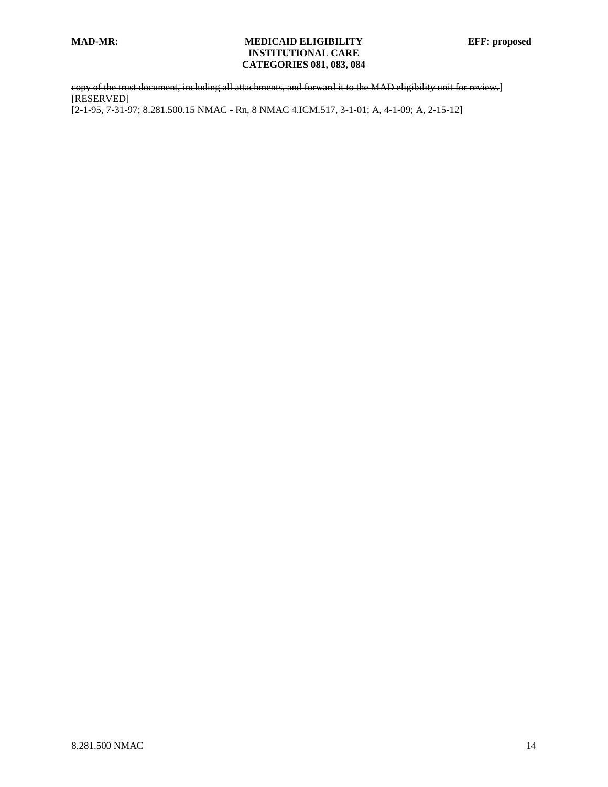copy of the trust document, including all attachments, and forward it to the MAD eligibility unit for review.] [RESERVED] [2-1-95, 7-31-97; 8.281.500.15 NMAC - Rn, 8 NMAC 4.ICM.517, 3-1-01; A, 4-1-09; A, 2-15-12]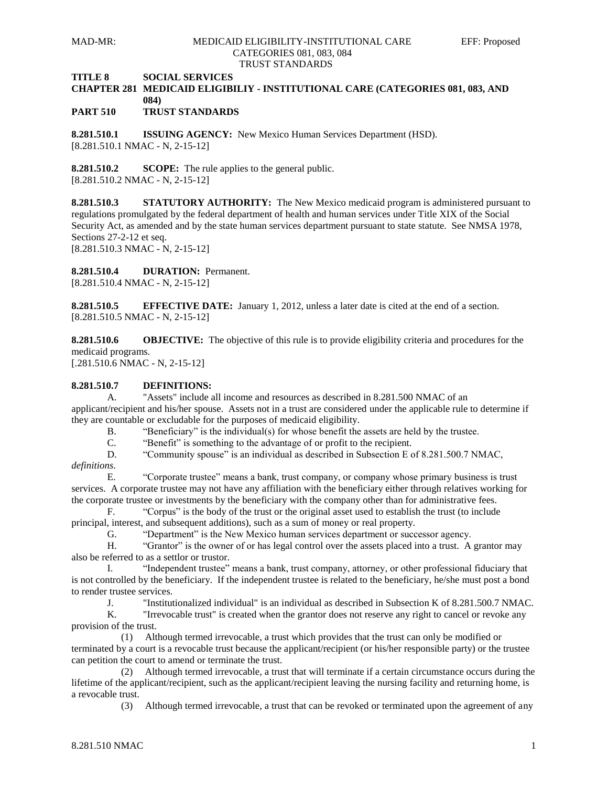**TITLE 8 SOCIAL SERVICES**

# **CHAPTER 281 MEDICAID ELIGIBILIY - INSTITUTIONAL CARE (CATEGORIES 081, 083, AND 084)**

**PART 510 TRUST STANDARDS**

**8.281.510.1 ISSUING AGENCY:** New Mexico Human Services Department (HSD). [8.281.510.1 NMAC - N, 2-15-12]

**8.281.510.2 SCOPE:** The rule applies to the general public. [8.281.510.2 NMAC - N, 2-15-12]

**8.281.510.3 STATUTORY AUTHORITY:** The New Mexico medicaid program is administered pursuant to regulations promulgated by the federal department of health and human services under Title XIX of the Social Security Act, as amended and by the state human services department pursuant to state statute. See NMSA 1978, Sections 27-2-12 et seq.

[8.281.510.3 NMAC - N, 2-15-12]

**8.281.510.4 DURATION:** Permanent.

[8.281.510.4 NMAC - N, 2-15-12]

**8.281.510.5 EFFECTIVE DATE:** January 1, 2012, unless a later date is cited at the end of a section. [8.281.510.5 NMAC - N, 2-15-12]

**8.281.510.6 OBJECTIVE:** The objective of this rule is to provide eligibility criteria and procedures for the medicaid programs.

[.281.510.6 NMAC - N, 2-15-12]

# **8.281.510.7 DEFINITIONS:**

A. "Assets" include all income and resources as described in 8.281.500 NMAC of an applicant/recipient and his/her spouse. Assets not in a trust are considered under the applicable rule to determine if they are countable or excludable for the purposes of medicaid eligibility.

B. "Beneficiary" is the individual(s) for whose benefit the assets are held by the trustee.  $\overline{C}$ . "Benefit" is something to the advantage of or profit to the recipient.

"Benefit" is something to the advantage of or profit to the recipient.

D. "Community spouse" is an individual as described in Subsection E of 8.281.500.7 NMAC, *definitions*.

E. "Corporate trustee" means a bank, trust company, or company whose primary business is trust services. A corporate trustee may not have any affiliation with the beneficiary either through relatives working for the corporate trustee or investments by the beneficiary with the company other than for administrative fees.

F. "Corpus" is the body of the trust or the original asset used to establish the trust (to include principal, interest, and subsequent additions), such as a sum of money or real property.

G. "Department" is the New Mexico human services department or successor agency.

H. "Grantor" is the owner of or has legal control over the assets placed into a trust. A grantor may also be referred to as a settlor or trustor.

I. "Independent trustee" means a bank, trust company, attorney, or other professional fiduciary that is not controlled by the beneficiary. If the independent trustee is related to the beneficiary, he/she must post a bond to render trustee services.

J. "Institutionalized individual" is an individual as described in Subsection K of 8.281.500.7 NMAC.

"Irrevocable trust" is created when the grantor does not reserve any right to cancel or revoke any provision of the trust.

 (1) Although termed irrevocable, a trust which provides that the trust can only be modified or terminated by a court is a revocable trust because the applicant/recipient (or his/her responsible party) or the trustee can petition the court to amend or terminate the trust.

 (2) Although termed irrevocable, a trust that will terminate if a certain circumstance occurs during the lifetime of the applicant/recipient, such as the applicant/recipient leaving the nursing facility and returning home, is a revocable trust.

(3) Although termed irrevocable, a trust that can be revoked or terminated upon the agreement of any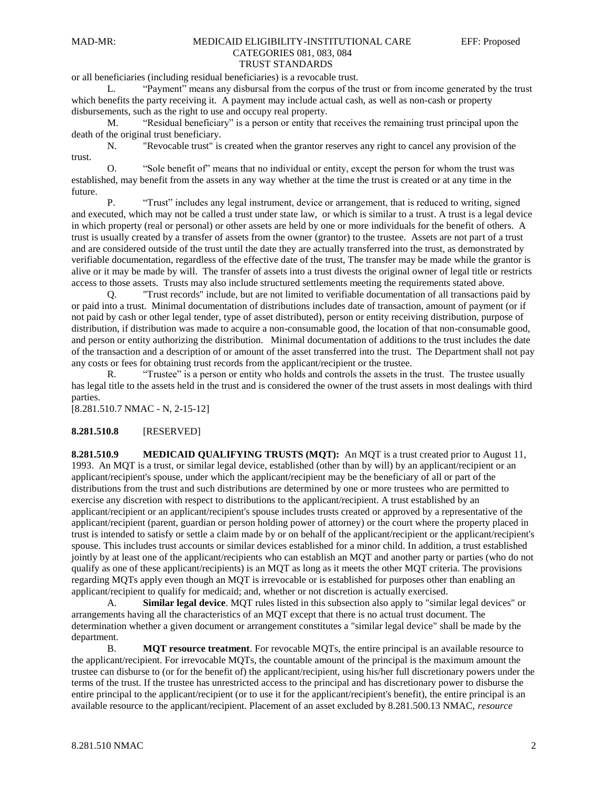# or all beneficiaries (including residual beneficiaries) is a revocable trust.

L. "Payment" means any disbursal from the corpus of the trust or from income generated by the trust which benefits the party receiving it. A payment may include actual cash, as well as non-cash or property disbursements, such as the right to use and occupy real property.

M. "Residual beneficiary" is a person or entity that receives the remaining trust principal upon the death of the original trust beneficiary.

N. "Revocable trust" is created when the grantor reserves any right to cancel any provision of the trust.

O. "Sole benefit of" means that no individual or entity, except the person for whom the trust was established, may benefit from the assets in any way whether at the time the trust is created or at any time in the future.

P. "Trust" includes any legal instrument, device or arrangement, that is reduced to writing, signed and executed, which may not be called a trust under state law, or which is similar to a trust. A trust is a legal device in which property (real or personal) or other assets are held by one or more individuals for the benefit of others. A trust is usually created by a transfer of assets from the owner (grantor) to the trustee. Assets are not part of a trust and are considered outside of the trust until the date they are actually transferred into the trust, as demonstrated by verifiable documentation, regardless of the effective date of the trust, The transfer may be made while the grantor is alive or it may be made by will. The transfer of assets into a trust divests the original owner of legal title or restricts access to those assets. Trusts may also include structured settlements meeting the requirements stated above.

Q. "Trust records" include, but are not limited to verifiable documentation of all transactions paid by or paid into a trust. Minimal documentation of distributions includes date of transaction, amount of payment (or if not paid by cash or other legal tender, type of asset distributed), person or entity receiving distribution, purpose of distribution, if distribution was made to acquire a non-consumable good, the location of that non-consumable good, and person or entity authorizing the distribution. Minimal documentation of additions to the trust includes the date of the transaction and a description of or amount of the asset transferred into the trust. The Department shall not pay any costs or fees for obtaining trust records from the applicant/recipient or the trustee.

R. "Trustee" is a person or entity who holds and controls the assets in the trust. The trustee usually has legal title to the assets held in the trust and is considered the owner of the trust assets in most dealings with third parties.

[8.281.510.7 NMAC - N, 2-15-12]

## **8.281.510.8** [RESERVED]

**8.281.510.9 MEDICAID QUALIFYING TRUSTS (MQT):** An MQT is a trust created prior to August 11, 1993. An MQT is a trust, or similar legal device, established (other than by will) by an applicant/recipient or an applicant/recipient's spouse, under which the applicant/recipient may be the beneficiary of all or part of the distributions from the trust and such distributions are determined by one or more trustees who are permitted to exercise any discretion with respect to distributions to the applicant/recipient. A trust established by an applicant/recipient or an applicant/recipient's spouse includes trusts created or approved by a representative of the applicant/recipient (parent, guardian or person holding power of attorney) or the court where the property placed in trust is intended to satisfy or settle a claim made by or on behalf of the applicant/recipient or the applicant/recipient's spouse. This includes trust accounts or similar devices established for a minor child. In addition, a trust established jointly by at least one of the applicant/recipients who can establish an MQT and another party or parties (who do not qualify as one of these applicant/recipients) is an MQT as long as it meets the other MQT criteria. The provisions regarding MQTs apply even though an MQT is irrevocable or is established for purposes other than enabling an applicant/recipient to qualify for medicaid; and, whether or not discretion is actually exercised.

A. **Similar legal device**. MQT rules listed in this subsection also apply to "similar legal devices" or arrangements having all the characteristics of an MQT except that there is no actual trust document. The determination whether a given document or arrangement constitutes a "similar legal device" shall be made by the department.

B. **MQT resource treatment**. For revocable MQTs, the entire principal is an available resource to the applicant/recipient. For irrevocable MQTs, the countable amount of the principal is the maximum amount the trustee can disburse to (or for the benefit of) the applicant/recipient, using his/her full discretionary powers under the terms of the trust. If the trustee has unrestricted access to the principal and has discretionary power to disburse the entire principal to the applicant/recipient (or to use it for the applicant/recipient's benefit), the entire principal is an available resource to the applicant/recipient. Placement of an asset excluded by 8.281.500.13 NMAC, *resource*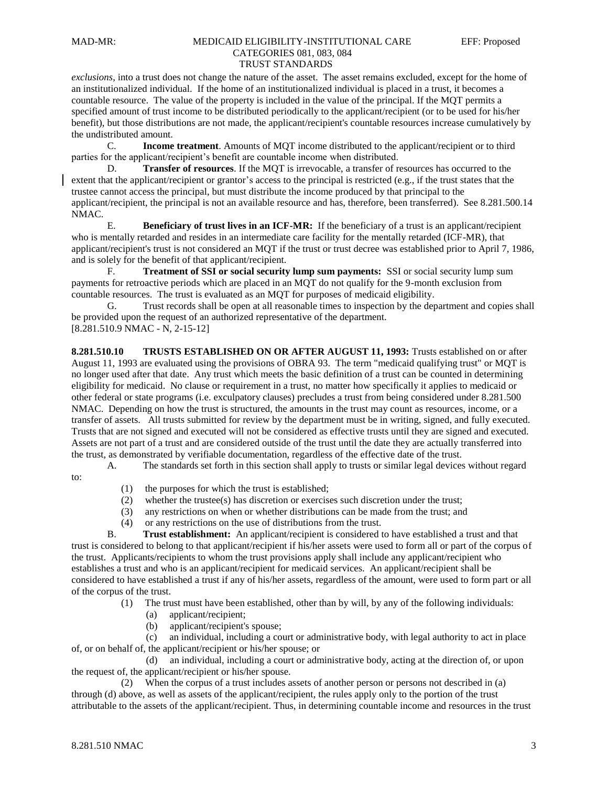## *exclusions*, into a trust does not change the nature of the asset. The asset remains excluded, except for the home of an institutionalized individual. If the home of an institutionalized individual is placed in a trust, it becomes a countable resource. The value of the property is included in the value of the principal. If the MQT permits a specified amount of trust income to be distributed periodically to the applicant/recipient (or to be used for his/her benefit), but those distributions are not made, the applicant/recipient's countable resources increase cumulatively by the undistributed amount.

C. **Income treatment**. Amounts of MQT income distributed to the applicant/recipient or to third parties for the applicant/recipient's benefit are countable income when distributed.

D. **Transfer of resources**. If the MQT is irrevocable, a transfer of resources has occurred to the extent that the applicant/recipient or grantor's access to the principal is restricted (e.g., if the trust states that the trustee cannot access the principal, but must distribute the income produced by that principal to the applicant/recipient, the principal is not an available resource and has, therefore, been transferred). See 8.281.500.14 NMAC.

E. **Beneficiary of trust lives in an ICF-MR:** If the beneficiary of a trust is an applicant/recipient who is mentally retarded and resides in an intermediate care facility for the mentally retarded (ICF-MR), that applicant/recipient's trust is not considered an MQT if the trust or trust decree was established prior to April 7, 1986, and is solely for the benefit of that applicant/recipient.

F. **Treatment of SSI or social security lump sum payments:** SSI or social security lump sum payments for retroactive periods which are placed in an MQT do not qualify for the 9-month exclusion from countable resources. The trust is evaluated as an MQT for purposes of medicaid eligibility.

G. Trust records shall be open at all reasonable times to inspection by the department and copies shall be provided upon the request of an authorized representative of the department. [8.281.510.9 NMAC - N, 2-15-12]

**8.281.510.10 TRUSTS ESTABLISHED ON OR AFTER AUGUST 11, 1993:** Trusts established on or after August 11, 1993 are evaluated using the provisions of OBRA 93. The term "medicaid qualifying trust" or MQT is no longer used after that date. Any trust which meets the basic definition of a trust can be counted in determining eligibility for medicaid. No clause or requirement in a trust, no matter how specifically it applies to medicaid or other federal or state programs (i.e. exculpatory clauses) precludes a trust from being considered under 8.281.500 NMAC. Depending on how the trust is structured, the amounts in the trust may count as resources, income, or a transfer of assets. All trusts submitted for review by the department must be in writing, signed, and fully executed. Trusts that are not signed and executed will not be considered as effective trusts until they are signed and executed. Assets are not part of a trust and are considered outside of the trust until the date they are actually transferred into the trust, as demonstrated by verifiable documentation, regardless of the effective date of the trust.

A. The standards set forth in this section shall apply to trusts or similar legal devices without regard to:

- (1) the purposes for which the trust is established;
- (2) whether the trustee(s) has discretion or exercises such discretion under the trust;
- (3) any restrictions on when or whether distributions can be made from the trust; and
- (4) or any restrictions on the use of distributions from the trust.

B. **Trust establishment:** An applicant/recipient is considered to have established a trust and that trust is considered to belong to that applicant/recipient if his/her assets were used to form all or part of the corpus of the trust. Applicants/recipients to whom the trust provisions apply shall include any applicant/recipient who establishes a trust and who is an applicant/recipient for medicaid services. An applicant/recipient shall be considered to have established a trust if any of his/her assets, regardless of the amount, were used to form part or all of the corpus of the trust.

(1) The trust must have been established, other than by will, by any of the following individuals:

- (a) applicant/recipient;
- (b) applicant/recipient's spouse;

 (c) an individual, including a court or administrative body, with legal authority to act in place of, or on behalf of, the applicant/recipient or his/her spouse; or

 (d) an individual, including a court or administrative body, acting at the direction of, or upon the request of, the applicant/recipient or his/her spouse.

 (2) When the corpus of a trust includes assets of another person or persons not described in (a) through (d) above, as well as assets of the applicant/recipient, the rules apply only to the portion of the trust attributable to the assets of the applicant/recipient. Thus, in determining countable income and resources in the trust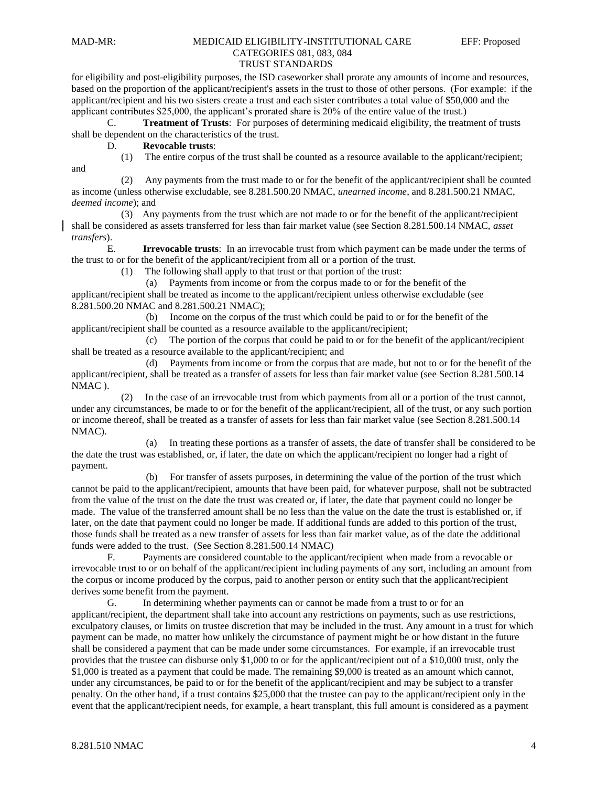and

#### MAD-MR: MEDICAID ELIGIBILITY-INSTITUTIONAL CARE EFF: Proposed CATEGORIES 081, 083, 084 TRUST STANDARDS

# for eligibility and post-eligibility purposes, the ISD caseworker shall prorate any amounts of income and resources,

based on the proportion of the applicant/recipient's assets in the trust to those of other persons. (For example: if the applicant/recipient and his two sisters create a trust and each sister contributes a total value of \$50,000 and the applicant contributes \$25,000, the applicant's prorated share is 20% of the entire value of the trust.)

C. **Treatment of Trusts**: For purposes of determining medicaid eligibility, the treatment of trusts shall be dependent on the characteristics of the trust.

D. **Revocable trusts**:

(1) The entire corpus of the trust shall be counted as a resource available to the applicant/recipient;

 (2) Any payments from the trust made to or for the benefit of the applicant/recipient shall be counted as income (unless otherwise excludable, see 8.281.500.20 NMAC, *unearned income*, and 8.281.500.21 NMAC, *deemed income*); and

 (3) Any payments from the trust which are not made to or for the benefit of the applicant/recipient shall be considered as assets transferred for less than fair market value (see Section 8.281.500.14 NMAC, *asset transfers*).

E. **Irrevocable trusts**: In an irrevocable trust from which payment can be made under the terms of the trust to or for the benefit of the applicant/recipient from all or a portion of the trust.

(1) The following shall apply to that trust or that portion of the trust:

 (a) Payments from income or from the corpus made to or for the benefit of the applicant/recipient shall be treated as income to the applicant/recipient unless otherwise excludable (see 8.281.500.20 NMAC and 8.281.500.21 NMAC);

 (b) Income on the corpus of the trust which could be paid to or for the benefit of the applicant/recipient shall be counted as a resource available to the applicant/recipient;

 (c) The portion of the corpus that could be paid to or for the benefit of the applicant/recipient shall be treated as a resource available to the applicant/recipient; and

 (d) Payments from income or from the corpus that are made, but not to or for the benefit of the applicant/recipient, shall be treated as a transfer of assets for less than fair market value (see Section 8.281.500.14 NMAC ).

 (2) In the case of an irrevocable trust from which payments from all or a portion of the trust cannot, under any circumstances, be made to or for the benefit of the applicant/recipient, all of the trust, or any such portion or income thereof, shall be treated as a transfer of assets for less than fair market value (see Section 8.281.500.14 NMAC).

 (a) In treating these portions as a transfer of assets, the date of transfer shall be considered to be the date the trust was established, or, if later, the date on which the applicant/recipient no longer had a right of payment.

 (b) For transfer of assets purposes, in determining the value of the portion of the trust which cannot be paid to the applicant/recipient, amounts that have been paid, for whatever purpose, shall not be subtracted from the value of the trust on the date the trust was created or, if later, the date that payment could no longer be made. The value of the transferred amount shall be no less than the value on the date the trust is established or, if later, on the date that payment could no longer be made. If additional funds are added to this portion of the trust, those funds shall be treated as a new transfer of assets for less than fair market value, as of the date the additional funds were added to the trust. (See Section 8.281.500.14 NMAC)

F. Payments are considered countable to the applicant/recipient when made from a revocable or irrevocable trust to or on behalf of the applicant/recipient including payments of any sort, including an amount from the corpus or income produced by the corpus, paid to another person or entity such that the applicant/recipient derives some benefit from the payment.

G. In determining whether payments can or cannot be made from a trust to or for an applicant/recipient, the department shall take into account any restrictions on payments, such as use restrictions, exculpatory clauses, or limits on trustee discretion that may be included in the trust. Any amount in a trust for which payment can be made, no matter how unlikely the circumstance of payment might be or how distant in the future shall be considered a payment that can be made under some circumstances. For example, if an irrevocable trust provides that the trustee can disburse only \$1,000 to or for the applicant/recipient out of a \$10,000 trust, only the \$1,000 is treated as a payment that could be made. The remaining \$9,000 is treated as an amount which cannot, under any circumstances, be paid to or for the benefit of the applicant/recipient and may be subject to a transfer penalty. On the other hand, if a trust contains \$25,000 that the trustee can pay to the applicant/recipient only in the event that the applicant/recipient needs, for example, a heart transplant, this full amount is considered as a payment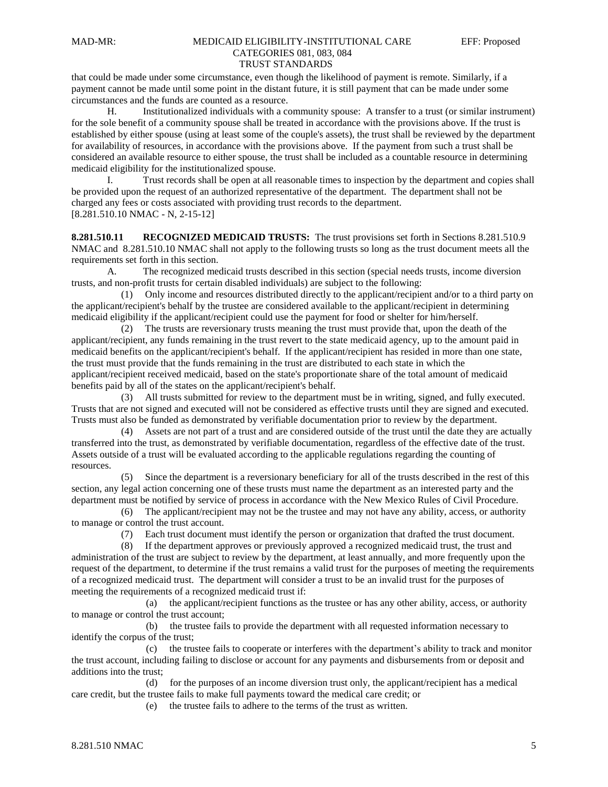that could be made under some circumstance, even though the likelihood of payment is remote. Similarly, if a payment cannot be made until some point in the distant future, it is still payment that can be made under some circumstances and the funds are counted as a resource.

H. Institutionalized individuals with a community spouse: A transfer to a trust (or similar instrument) for the sole benefit of a community spouse shall be treated in accordance with the provisions above. If the trust is established by either spouse (using at least some of the couple's assets), the trust shall be reviewed by the department for availability of resources, in accordance with the provisions above. If the payment from such a trust shall be considered an available resource to either spouse, the trust shall be included as a countable resource in determining medicaid eligibility for the institutionalized spouse.

I. Trust records shall be open at all reasonable times to inspection by the department and copies shall be provided upon the request of an authorized representative of the department. The department shall not be charged any fees or costs associated with providing trust records to the department. [8.281.510.10 NMAC - N, 2-15-12]

**8.281.510.11 RECOGNIZED MEDICAID TRUSTS:** The trust provisions set forth in Sections 8.281.510.9 NMAC and 8.281.510.10 NMAC shall not apply to the following trusts so long as the trust document meets all the requirements set forth in this section.

A. The recognized medicaid trusts described in this section (special needs trusts, income diversion trusts, and non-profit trusts for certain disabled individuals) are subject to the following:

 (1) Only income and resources distributed directly to the applicant/recipient and/or to a third party on the applicant/recipient's behalf by the trustee are considered available to the applicant/recipient in determining medicaid eligibility if the applicant/recipient could use the payment for food or shelter for him/herself.

 (2) The trusts are reversionary trusts meaning the trust must provide that, upon the death of the applicant/recipient, any funds remaining in the trust revert to the state medicaid agency, up to the amount paid in medicaid benefits on the applicant/recipient's behalf. If the applicant/recipient has resided in more than one state, the trust must provide that the funds remaining in the trust are distributed to each state in which the applicant/recipient received medicaid, based on the state's proportionate share of the total amount of medicaid benefits paid by all of the states on the applicant/recipient's behalf.

 (3) All trusts submitted for review to the department must be in writing, signed, and fully executed. Trusts that are not signed and executed will not be considered as effective trusts until they are signed and executed. Trusts must also be funded as demonstrated by verifiable documentation prior to review by the department.

 (4) Assets are not part of a trust and are considered outside of the trust until the date they are actually transferred into the trust, as demonstrated by verifiable documentation, regardless of the effective date of the trust. Assets outside of a trust will be evaluated according to the applicable regulations regarding the counting of resources.

Since the department is a reversionary beneficiary for all of the trusts described in the rest of this section, any legal action concerning one of these trusts must name the department as an interested party and the department must be notified by service of process in accordance with the New Mexico Rules of Civil Procedure.

 (6) The applicant/recipient may not be the trustee and may not have any ability, access, or authority to manage or control the trust account.

(7) Each trust document must identify the person or organization that drafted the trust document.

 (8) If the department approves or previously approved a recognized medicaid trust, the trust and administration of the trust are subject to review by the department, at least annually, and more frequently upon the request of the department, to determine if the trust remains a valid trust for the purposes of meeting the requirements of a recognized medicaid trust. The department will consider a trust to be an invalid trust for the purposes of meeting the requirements of a recognized medicaid trust if:

 (a) the applicant/recipient functions as the trustee or has any other ability, access, or authority to manage or control the trust account;

 (b) the trustee fails to provide the department with all requested information necessary to identify the corpus of the trust;

 (c) the trustee fails to cooperate or interferes with the department's ability to track and monitor the trust account, including failing to disclose or account for any payments and disbursements from or deposit and additions into the trust;

 (d) for the purposes of an income diversion trust only, the applicant/recipient has a medical care credit, but the trustee fails to make full payments toward the medical care credit; or

(e) the trustee fails to adhere to the terms of the trust as written.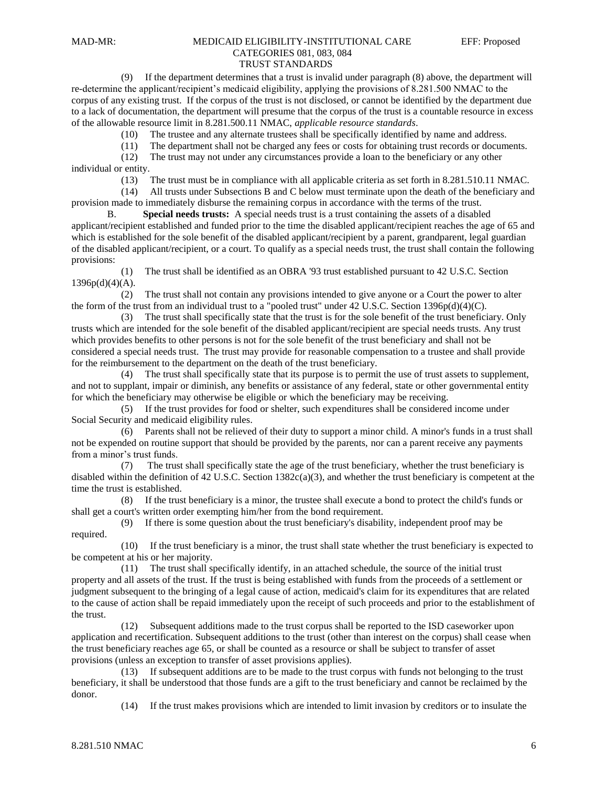## (9) If the department determines that a trust is invalid under paragraph (8) above, the department will re-determine the applicant/recipient's medicaid eligibility, applying the provisions of 8.281.500 NMAC to the corpus of any existing trust. If the corpus of the trust is not disclosed, or cannot be identified by the department due to a lack of documentation, the department will presume that the corpus of the trust is a countable resource in excess of the allowable resource limit in 8.281.500.11 NMAC, *applicable resource standards*.

(10) The trustee and any alternate trustees shall be specifically identified by name and address.

(11) The department shall not be charged any fees or costs for obtaining trust records or documents.

 (12) The trust may not under any circumstances provide a loan to the beneficiary or any other individual or entity.

(13) The trust must be in compliance with all applicable criteria as set forth in 8.281.510.11 NMAC.

 (14) All trusts under Subsections B and C below must terminate upon the death of the beneficiary and provision made to immediately disburse the remaining corpus in accordance with the terms of the trust.

B. **Special needs trusts:** A special needs trust is a trust containing the assets of a disabled applicant/recipient established and funded prior to the time the disabled applicant/recipient reaches the age of 65 and which is established for the sole benefit of the disabled applicant/recipient by a parent, grandparent, legal guardian of the disabled applicant/recipient, or a court. To qualify as a special needs trust, the trust shall contain the following provisions:

 (1) The trust shall be identified as an OBRA '93 trust established pursuant to 42 U.S.C. Section  $1396p(d)(4)(A)$ .

 (2) The trust shall not contain any provisions intended to give anyone or a Court the power to alter the form of the trust from an individual trust to a "pooled trust" under 42 U.S.C. Section 1396p(d)(4)(C).

 (3) The trust shall specifically state that the trust is for the sole benefit of the trust beneficiary. Only trusts which are intended for the sole benefit of the disabled applicant/recipient are special needs trusts. Any trust which provides benefits to other persons is not for the sole benefit of the trust beneficiary and shall not be considered a special needs trust. The trust may provide for reasonable compensation to a trustee and shall provide for the reimbursement to the department on the death of the trust beneficiary.

 (4) The trust shall specifically state that its purpose is to permit the use of trust assets to supplement, and not to supplant, impair or diminish, any benefits or assistance of any federal, state or other governmental entity for which the beneficiary may otherwise be eligible or which the beneficiary may be receiving.

 (5) If the trust provides for food or shelter, such expenditures shall be considered income under Social Security and medicaid eligibility rules.

 (6) Parents shall not be relieved of their duty to support a minor child. A minor's funds in a trust shall not be expended on routine support that should be provided by the parents, nor can a parent receive any payments from a minor's trust funds.

 (7) The trust shall specifically state the age of the trust beneficiary, whether the trust beneficiary is disabled within the definition of 42 U.S.C. Section  $1382c(a)(3)$ , and whether the trust beneficiary is competent at the time the trust is established.

 (8) If the trust beneficiary is a minor, the trustee shall execute a bond to protect the child's funds or shall get a court's written order exempting him/her from the bond requirement.

 (9) If there is some question about the trust beneficiary's disability, independent proof may be required.

 (10) If the trust beneficiary is a minor, the trust shall state whether the trust beneficiary is expected to be competent at his or her majority.

 (11) The trust shall specifically identify, in an attached schedule, the source of the initial trust property and all assets of the trust. If the trust is being established with funds from the proceeds of a settlement or judgment subsequent to the bringing of a legal cause of action, medicaid's claim for its expenditures that are related to the cause of action shall be repaid immediately upon the receipt of such proceeds and prior to the establishment of the trust.

 (12) Subsequent additions made to the trust corpus shall be reported to the ISD caseworker upon application and recertification. Subsequent additions to the trust (other than interest on the corpus) shall cease when the trust beneficiary reaches age 65, or shall be counted as a resource or shall be subject to transfer of asset provisions (unless an exception to transfer of asset provisions applies).

 (13) If subsequent additions are to be made to the trust corpus with funds not belonging to the trust beneficiary, it shall be understood that those funds are a gift to the trust beneficiary and cannot be reclaimed by the donor.

(14) If the trust makes provisions which are intended to limit invasion by creditors or to insulate the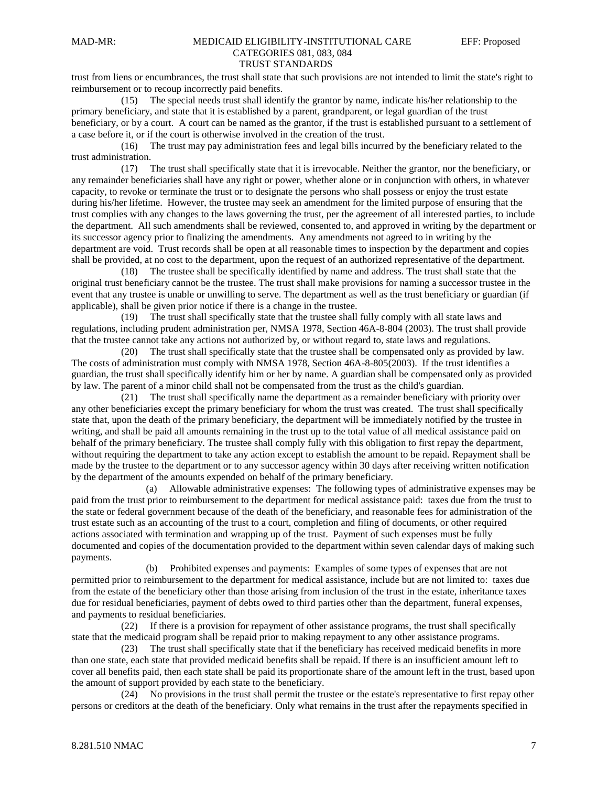#### trust from liens or encumbrances, the trust shall state that such provisions are not intended to limit the state's right to reimbursement or to recoup incorrectly paid benefits.

 (15) The special needs trust shall identify the grantor by name, indicate his/her relationship to the primary beneficiary, and state that it is established by a parent, grandparent, or legal guardian of the trust beneficiary, or by a court. A court can be named as the grantor, if the trust is established pursuant to a settlement of a case before it, or if the court is otherwise involved in the creation of the trust.

 (16) The trust may pay administration fees and legal bills incurred by the beneficiary related to the trust administration.

 (17) The trust shall specifically state that it is irrevocable. Neither the grantor, nor the beneficiary, or any remainder beneficiaries shall have any right or power, whether alone or in conjunction with others, in whatever capacity, to revoke or terminate the trust or to designate the persons who shall possess or enjoy the trust estate during his/her lifetime. However, the trustee may seek an amendment for the limited purpose of ensuring that the trust complies with any changes to the laws governing the trust, per the agreement of all interested parties, to include the department. All such amendments shall be reviewed, consented to, and approved in writing by the department or its successor agency prior to finalizing the amendments. Any amendments not agreed to in writing by the department are void. Trust records shall be open at all reasonable times to inspection by the department and copies shall be provided, at no cost to the department, upon the request of an authorized representative of the department.

 (18) The trustee shall be specifically identified by name and address. The trust shall state that the original trust beneficiary cannot be the trustee. The trust shall make provisions for naming a successor trustee in the event that any trustee is unable or unwilling to serve. The department as well as the trust beneficiary or guardian (if applicable), shall be given prior notice if there is a change in the trustee.

 (19) The trust shall specifically state that the trustee shall fully comply with all state laws and regulations, including prudent administration per, NMSA 1978, Section 46A-8-804 (2003). The trust shall provide that the trustee cannot take any actions not authorized by, or without regard to, state laws and regulations.

 (20) The trust shall specifically state that the trustee shall be compensated only as provided by law. The costs of administration must comply with NMSA 1978, Section 46A-8-805(2003). If the trust identifies a guardian, the trust shall specifically identify him or her by name. A guardian shall be compensated only as provided by law. The parent of a minor child shall not be compensated from the trust as the child's guardian.

 (21) The trust shall specifically name the department as a remainder beneficiary with priority over any other beneficiaries except the primary beneficiary for whom the trust was created. The trust shall specifically state that, upon the death of the primary beneficiary, the department will be immediately notified by the trustee in writing, and shall be paid all amounts remaining in the trust up to the total value of all medical assistance paid on behalf of the primary beneficiary. The trustee shall comply fully with this obligation to first repay the department, without requiring the department to take any action except to establish the amount to be repaid. Repayment shall be made by the trustee to the department or to any successor agency within 30 days after receiving written notification by the department of the amounts expended on behalf of the primary beneficiary.

 (a) Allowable administrative expenses: The following types of administrative expenses may be paid from the trust prior to reimbursement to the department for medical assistance paid: taxes due from the trust to the state or federal government because of the death of the beneficiary, and reasonable fees for administration of the trust estate such as an accounting of the trust to a court, completion and filing of documents, or other required actions associated with termination and wrapping up of the trust. Payment of such expenses must be fully documented and copies of the documentation provided to the department within seven calendar days of making such payments.

 (b) Prohibited expenses and payments: Examples of some types of expenses that are not permitted prior to reimbursement to the department for medical assistance, include but are not limited to: taxes due from the estate of the beneficiary other than those arising from inclusion of the trust in the estate, inheritance taxes due for residual beneficiaries, payment of debts owed to third parties other than the department, funeral expenses, and payments to residual beneficiaries.

 (22) If there is a provision for repayment of other assistance programs, the trust shall specifically state that the medicaid program shall be repaid prior to making repayment to any other assistance programs.

 (23) The trust shall specifically state that if the beneficiary has received medicaid benefits in more than one state, each state that provided medicaid benefits shall be repaid. If there is an insufficient amount left to cover all benefits paid, then each state shall be paid its proportionate share of the amount left in the trust, based upon the amount of support provided by each state to the beneficiary.

 (24) No provisions in the trust shall permit the trustee or the estate's representative to first repay other persons or creditors at the death of the beneficiary. Only what remains in the trust after the repayments specified in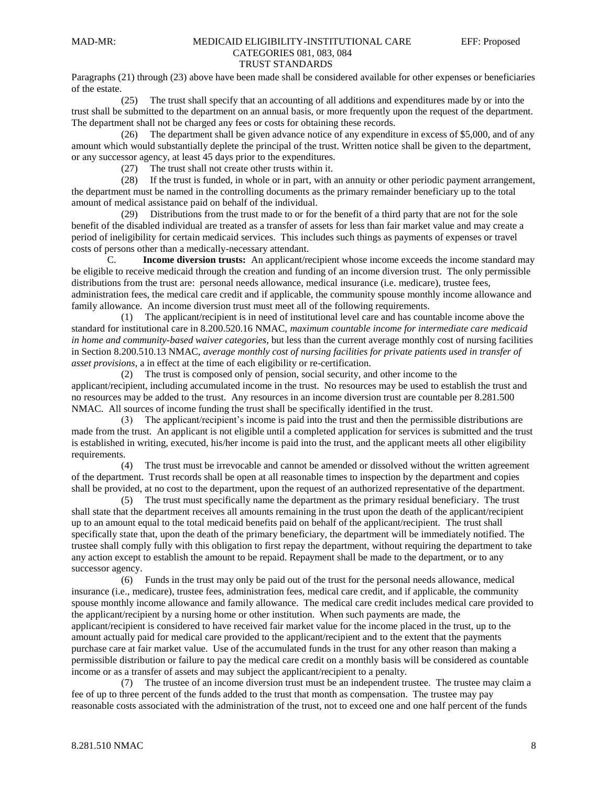# MAD-MR: MEDICAID ELIGIBILITY-INSTITUTIONAL CARE EFF: Proposed CATEGORIES 081, 083, 084

## TRUST STANDARDS

Paragraphs (21) through (23) above have been made shall be considered available for other expenses or beneficiaries of the estate.

 (25) The trust shall specify that an accounting of all additions and expenditures made by or into the trust shall be submitted to the department on an annual basis, or more frequently upon the request of the department. The department shall not be charged any fees or costs for obtaining these records.

 (26) The department shall be given advance notice of any expenditure in excess of \$5,000, and of any amount which would substantially deplete the principal of the trust. Written notice shall be given to the department, or any successor agency, at least 45 days prior to the expenditures.

(27) The trust shall not create other trusts within it.

 (28) If the trust is funded, in whole or in part, with an annuity or other periodic payment arrangement, the department must be named in the controlling documents as the primary remainder beneficiary up to the total amount of medical assistance paid on behalf of the individual.

 (29) Distributions from the trust made to or for the benefit of a third party that are not for the sole benefit of the disabled individual are treated as a transfer of assets for less than fair market value and may create a period of ineligibility for certain medicaid services. This includes such things as payments of expenses or travel costs of persons other than a medically-necessary attendant.

C. **Income diversion trusts:** An applicant/recipient whose income exceeds the income standard may be eligible to receive medicaid through the creation and funding of an income diversion trust. The only permissible distributions from the trust are: personal needs allowance, medical insurance (i.e. medicare), trustee fees, administration fees, the medical care credit and if applicable, the community spouse monthly income allowance and family allowance. An income diversion trust must meet all of the following requirements.

 (1) The applicant/recipient is in need of institutional level care and has countable income above the standard for institutional care in 8.200.520.16 NMAC, *maximum countable income for intermediate care medicaid in home and community-based waiver categories*, but less than the current average monthly cost of nursing facilities in Section 8.200.510.13 NMAC, *average monthly cost of nursing facilities for private patients used in transfer of asset provisions*, a in effect at the time of each eligibility or re-certification.

 (2) The trust is composed only of pension, social security, and other income to the applicant/recipient, including accumulated income in the trust. No resources may be used to establish the trust and no resources may be added to the trust. Any resources in an income diversion trust are countable per 8.281.500 NMAC. All sources of income funding the trust shall be specifically identified in the trust.

 (3) The applicant/recipient's income is paid into the trust and then the permissible distributions are made from the trust. An applicant is not eligible until a completed application for services is submitted and the trust is established in writing, executed, his/her income is paid into the trust, and the applicant meets all other eligibility requirements.

 (4) The trust must be irrevocable and cannot be amended or dissolved without the written agreement of the department. Trust records shall be open at all reasonable times to inspection by the department and copies shall be provided, at no cost to the department, upon the request of an authorized representative of the department.

 (5) The trust must specifically name the department as the primary residual beneficiary. The trust shall state that the department receives all amounts remaining in the trust upon the death of the applicant/recipient up to an amount equal to the total medicaid benefits paid on behalf of the applicant/recipient. The trust shall specifically state that, upon the death of the primary beneficiary, the department will be immediately notified. The trustee shall comply fully with this obligation to first repay the department, without requiring the department to take any action except to establish the amount to be repaid. Repayment shall be made to the department, or to any successor agency.

 (6) Funds in the trust may only be paid out of the trust for the personal needs allowance, medical insurance (i.e., medicare), trustee fees, administration fees, medical care credit, and if applicable, the community spouse monthly income allowance and family allowance. The medical care credit includes medical care provided to the applicant/recipient by a nursing home or other institution. When such payments are made, the applicant/recipient is considered to have received fair market value for the income placed in the trust, up to the amount actually paid for medical care provided to the applicant/recipient and to the extent that the payments purchase care at fair market value. Use of the accumulated funds in the trust for any other reason than making a permissible distribution or failure to pay the medical care credit on a monthly basis will be considered as countable income or as a transfer of assets and may subject the applicant/recipient to a penalty.

 (7) The trustee of an income diversion trust must be an independent trustee. The trustee may claim a fee of up to three percent of the funds added to the trust that month as compensation. The trustee may pay reasonable costs associated with the administration of the trust, not to exceed one and one half percent of the funds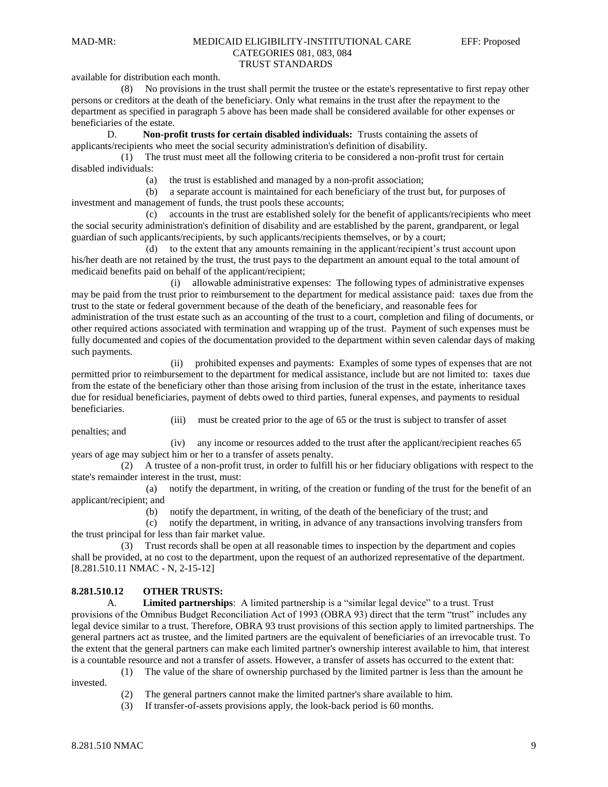# available for distribution each month.

 (8) No provisions in the trust shall permit the trustee or the estate's representative to first repay other persons or creditors at the death of the beneficiary. Only what remains in the trust after the repayment to the department as specified in paragraph 5 above has been made shall be considered available for other expenses or beneficiaries of the estate.

D. **Non-profit trusts for certain disabled individuals:** Trusts containing the assets of applicants/recipients who meet the social security administration's definition of disability.

 (1) The trust must meet all the following criteria to be considered a non-profit trust for certain disabled individuals:

(a) the trust is established and managed by a non-profit association;

 (b) a separate account is maintained for each beneficiary of the trust but, for purposes of investment and management of funds, the trust pools these accounts;

 (c) accounts in the trust are established solely for the benefit of applicants/recipients who meet the social security administration's definition of disability and are established by the parent, grandparent, or legal guardian of such applicants/recipients, by such applicants/recipients themselves, or by a court;

 (d) to the extent that any amounts remaining in the applicant/recipient's trust account upon his/her death are not retained by the trust, the trust pays to the department an amount equal to the total amount of medicaid benefits paid on behalf of the applicant/recipient;

 (i) allowable administrative expenses: The following types of administrative expenses may be paid from the trust prior to reimbursement to the department for medical assistance paid: taxes due from the trust to the state or federal government because of the death of the beneficiary, and reasonable fees for administration of the trust estate such as an accounting of the trust to a court, completion and filing of documents, or other required actions associated with termination and wrapping up of the trust. Payment of such expenses must be fully documented and copies of the documentation provided to the department within seven calendar days of making such payments.

 (ii) prohibited expenses and payments: Examples of some types of expenses that are not permitted prior to reimbursement to the department for medical assistance, include but are not limited to: taxes due from the estate of the beneficiary other than those arising from inclusion of the trust in the estate, inheritance taxes due for residual beneficiaries, payment of debts owed to third parties, funeral expenses, and payments to residual beneficiaries.

(iii) must be created prior to the age of 65 or the trust is subject to transfer of asset

penalties; and

 (iv) any income or resources added to the trust after the applicant/recipient reaches 65 years of age may subject him or her to a transfer of assets penalty.

 (2) A trustee of a non-profit trust, in order to fulfill his or her fiduciary obligations with respect to the state's remainder interest in the trust, must:

 (a) notify the department, in writing, of the creation or funding of the trust for the benefit of an applicant/recipient; and

(b) notify the department, in writing, of the death of the beneficiary of the trust; and

 (c) notify the department, in writing, in advance of any transactions involving transfers from the trust principal for less than fair market value.

 (3) Trust records shall be open at all reasonable times to inspection by the department and copies shall be provided, at no cost to the department, upon the request of an authorized representative of the department. [8.281.510.11 NMAC - N, 2-15-12]

# **8.281.510.12 OTHER TRUSTS:**

A. **Limited partnerships**: A limited partnership is a "similar legal device" to a trust. Trust provisions of the Omnibus Budget Reconciliation Act of 1993 (OBRA 93) direct that the term "trust" includes any legal device similar to a trust. Therefore, OBRA 93 trust provisions of this section apply to limited partnerships. The general partners act as trustee, and the limited partners are the equivalent of beneficiaries of an irrevocable trust. To the extent that the general partners can make each limited partner's ownership interest available to him, that interest is a countable resource and not a transfer of assets. However, a transfer of assets has occurred to the extent that:

(1) The value of the share of ownership purchased by the limited partner is less than the amount he

invested.

- (2) The general partners cannot make the limited partner's share available to him.
- (3) If transfer-of-assets provisions apply, the look-back period is 60 months.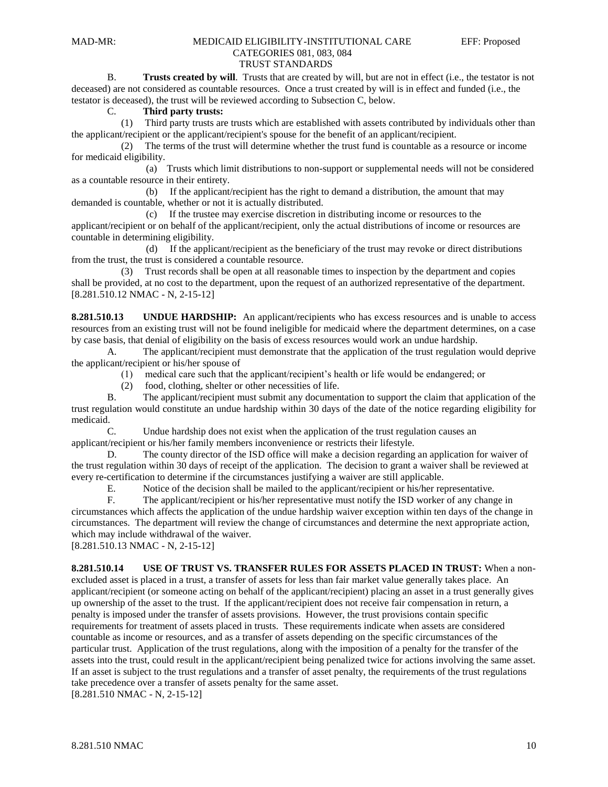# MAD-MR: MEDICAID ELIGIBILITY-INSTITUTIONAL CARE EFF: Proposed CATEGORIES 081, 083, 084

# TRUST STANDARDS

B. **Trusts created by will**. Trusts that are created by will, but are not in effect (i.e., the testator is not deceased) are not considered as countable resources. Once a trust created by will is in effect and funded (i.e., the testator is deceased), the trust will be reviewed according to Subsection C, below.

## C. **Third party trusts:**

 (1) Third party trusts are trusts which are established with assets contributed by individuals other than the applicant/recipient or the applicant/recipient's spouse for the benefit of an applicant/recipient.

 (2) The terms of the trust will determine whether the trust fund is countable as a resource or income for medicaid eligibility.

 (a) Trusts which limit distributions to non-support or supplemental needs will not be considered as a countable resource in their entirety.

 (b) If the applicant/recipient has the right to demand a distribution, the amount that may demanded is countable, whether or not it is actually distributed.

 (c) If the trustee may exercise discretion in distributing income or resources to the applicant/recipient or on behalf of the applicant/recipient, only the actual distributions of income or resources are countable in determining eligibility.

 (d) If the applicant/recipient as the beneficiary of the trust may revoke or direct distributions from the trust, the trust is considered a countable resource.

 (3) Trust records shall be open at all reasonable times to inspection by the department and copies shall be provided, at no cost to the department, upon the request of an authorized representative of the department. [8.281.510.12 NMAC - N, 2-15-12]

**8.281.510.13 UNDUE HARDSHIP:** An applicant/recipients who has excess resources and is unable to access resources from an existing trust will not be found ineligible for medicaid where the department determines, on a case by case basis, that denial of eligibility on the basis of excess resources would work an undue hardship.

A. The applicant/recipient must demonstrate that the application of the trust regulation would deprive the applicant/recipient or his/her spouse of

(1) medical care such that the applicant/recipient's health or life would be endangered; or

(2) food, clothing, shelter or other necessities of life.

B. The applicant/recipient must submit any documentation to support the claim that application of the trust regulation would constitute an undue hardship within 30 days of the date of the notice regarding eligibility for medicaid.

C. Undue hardship does not exist when the application of the trust regulation causes an applicant/recipient or his/her family members inconvenience or restricts their lifestyle.

D. The county director of the ISD office will make a decision regarding an application for waiver of the trust regulation within 30 days of receipt of the application. The decision to grant a waiver shall be reviewed at every re-certification to determine if the circumstances justifying a waiver are still applicable.

E. Notice of the decision shall be mailed to the applicant/recipient or his/her representative.

F. The applicant/recipient or his/her representative must notify the ISD worker of any change in circumstances which affects the application of the undue hardship waiver exception within ten days of the change in circumstances. The department will review the change of circumstances and determine the next appropriate action, which may include withdrawal of the waiver.

[8.281.510.13 NMAC - N, 2-15-12]

**8.281.510.14 USE OF TRUST VS. TRANSFER RULES FOR ASSETS PLACED IN TRUST:** When a nonexcluded asset is placed in a trust, a transfer of assets for less than fair market value generally takes place. An applicant/recipient (or someone acting on behalf of the applicant/recipient) placing an asset in a trust generally gives up ownership of the asset to the trust. If the applicant/recipient does not receive fair compensation in return, a penalty is imposed under the transfer of assets provisions. However, the trust provisions contain specific requirements for treatment of assets placed in trusts. These requirements indicate when assets are considered countable as income or resources, and as a transfer of assets depending on the specific circumstances of the particular trust. Application of the trust regulations, along with the imposition of a penalty for the transfer of the assets into the trust, could result in the applicant/recipient being penalized twice for actions involving the same asset. If an asset is subject to the trust regulations and a transfer of asset penalty, the requirements of the trust regulations take precedence over a transfer of assets penalty for the same asset.

[8.281.510 NMAC - N, 2-15-12]